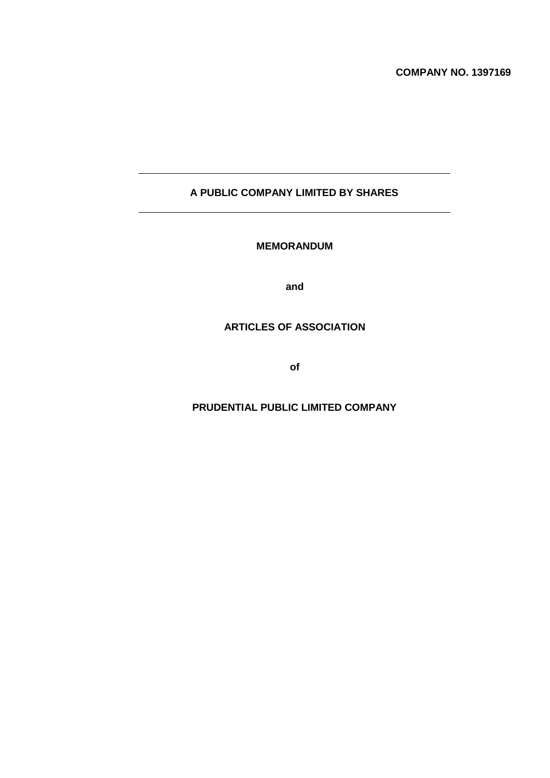# **A PUBLIC COMPANY LIMITED BY SHARES**

# **MEMORANDUM**

**and**

# **ARTICLES OF ASSOCIATION**

**of**

## **PRUDENTIAL PUBLIC LIMITED COMPANY**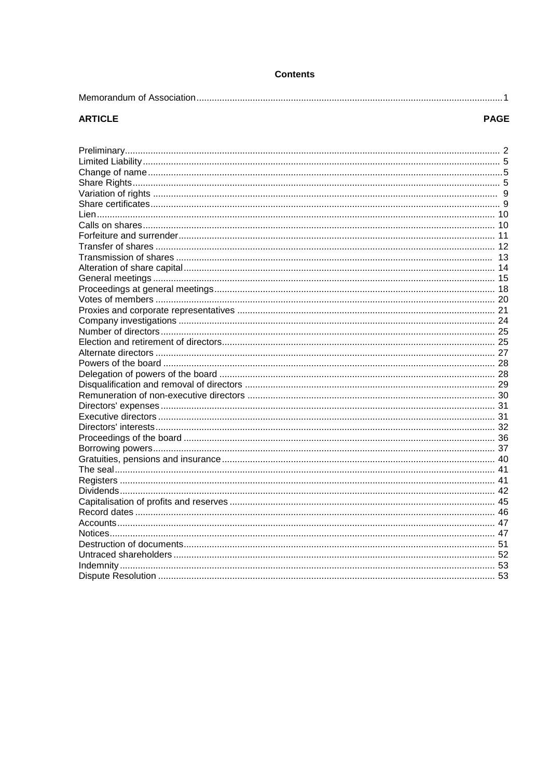| Contents |  |  |
|----------|--|--|
|----------|--|--|

# **ARTICLE**

# **PAGE**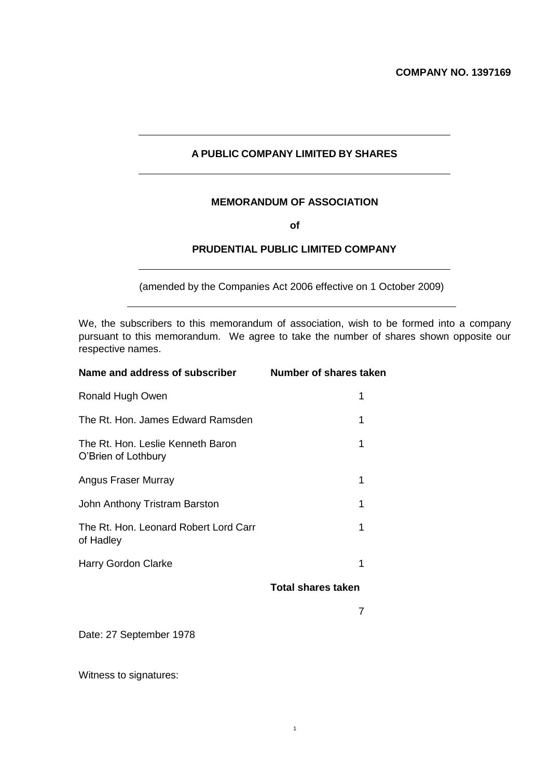# **A PUBLIC COMPANY LIMITED BY SHARES**

# **MEMORANDUM OF ASSOCIATION**

**of**

# **PRUDENTIAL PUBLIC LIMITED COMPANY**

(amended by the Companies Act 2006 effective on 1 October 2009)

We, the subscribers to this memorandum of association, wish to be formed into a company pursuant to this memorandum. We agree to take the number of shares shown opposite our respective names.

1

| Name and address of subscriber                           | Number of shares taken    |
|----------------------------------------------------------|---------------------------|
| Ronald Hugh Owen                                         | 1                         |
| The Rt. Hon. James Edward Ramsden                        | 1                         |
| The Rt. Hon. Leslie Kenneth Baron<br>O'Brien of Lothbury | 1                         |
| Angus Fraser Murray                                      | 1                         |
| John Anthony Tristram Barston                            | 1                         |
| The Rt. Hon. Leonard Robert Lord Carr<br>of Hadley       | 1                         |
| Harry Gordon Clarke                                      | 1                         |
|                                                          | <b>Total shares taken</b> |
|                                                          | 7                         |
|                                                          |                           |

Date: 27 September 1978

Witness to signatures: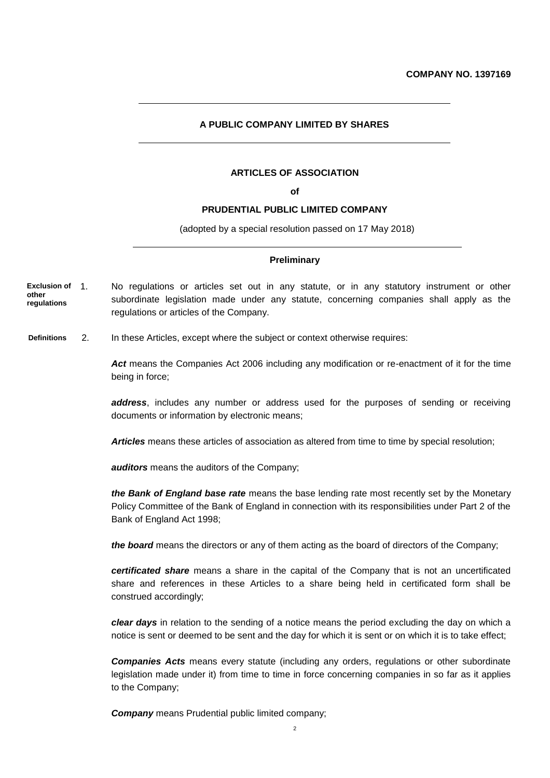#### **A PUBLIC COMPANY LIMITED BY SHARES**

#### **ARTICLES OF ASSOCIATION**

**of**

### **PRUDENTIAL PUBLIC LIMITED COMPANY**

(adopted by a special resolution passed on 17 May 2018)

#### **Preliminary**

- 1. No regulations or articles set out in any statute, or in any statutory instrument or other subordinate legislation made under any statute, concerning companies shall apply as the regulations or articles of the Company. **Exclusion of other regulations**
- 2. In these Articles, except where the subject or context otherwise requires: **Definitions**

Act means the Companies Act 2006 including any modification or re-enactment of it for the time being in force;

*address*, includes any number or address used for the purposes of sending or receiving documents or information by electronic means;

*Articles* means these articles of association as altered from time to time by special resolution;

*auditors* means the auditors of the Company;

*the Bank of England base rate* means the base lending rate most recently set by the Monetary Policy Committee of the Bank of England in connection with its responsibilities under Part 2 of the Bank of England Act 1998;

*the board* means the directors or any of them acting as the board of directors of the Company;

*certificated share* means a share in the capital of the Company that is not an uncertificated share and references in these Articles to a share being held in certificated form shall be construed accordingly;

*clear days* in relation to the sending of a notice means the period excluding the day on which a notice is sent or deemed to be sent and the day for which it is sent or on which it is to take effect;

*Companies Acts* means every statute (including any orders, regulations or other subordinate legislation made under it) from time to time in force concerning companies in so far as it applies to the Company;

**Company** means Prudential public limited company;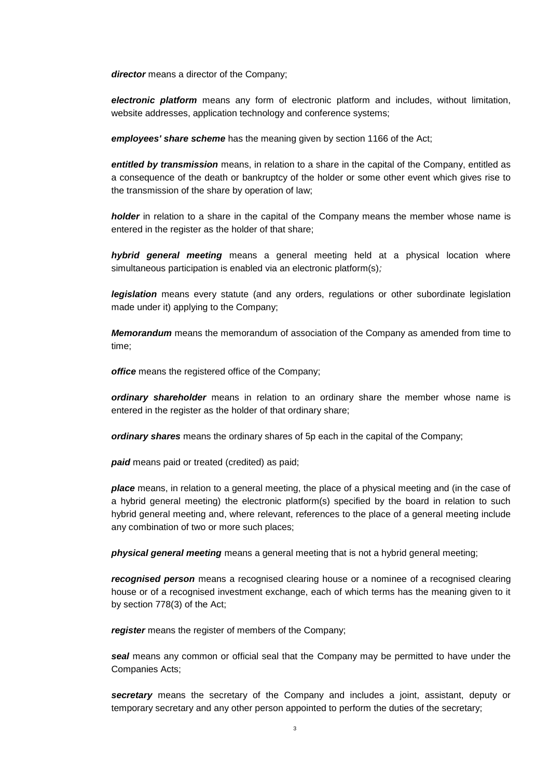*director* means a director of the Company;

*electronic platform* means any form of electronic platform and includes, without limitation, website addresses, application technology and conference systems;

*employees' share scheme* has the meaning given by section 1166 of the Act;

*entitled by transmission* means, in relation to a share in the capital of the Company, entitled as a consequence of the death or bankruptcy of the holder or some other event which gives rise to the transmission of the share by operation of law;

*holder* in relation to a share in the capital of the Company means the member whose name is entered in the register as the holder of that share;

*hybrid general meeting* means a general meeting held at a physical location where simultaneous participation is enabled via an electronic platform(s)*;* 

*legislation* means every statute (and any orders, regulations or other subordinate legislation made under it) applying to the Company;

*Memorandum* means the memorandum of association of the Company as amended from time to time;

*office* means the registered office of the Company;

*ordinary shareholder* means in relation to an ordinary share the member whose name is entered in the register as the holder of that ordinary share;

*ordinary shares* means the ordinary shares of 5p each in the capital of the Company;

*paid* means paid or treated (credited) as paid;

*place* means, in relation to a general meeting, the place of a physical meeting and (in the case of a hybrid general meeting) the electronic platform(s) specified by the board in relation to such hybrid general meeting and, where relevant, references to the place of a general meeting include any combination of two or more such places;

*physical general meeting* means a general meeting that is not a hybrid general meeting;

*recognised person* means a recognised clearing house or a nominee of a recognised clearing house or of a recognised investment exchange, each of which terms has the meaning given to it by section 778(3) of the Act;

*register* means the register of members of the Company;

**seal** means any common or official seal that the Company may be permitted to have under the Companies Acts;

*secretary* means the secretary of the Company and includes a joint, assistant, deputy or temporary secretary and any other person appointed to perform the duties of the secretary;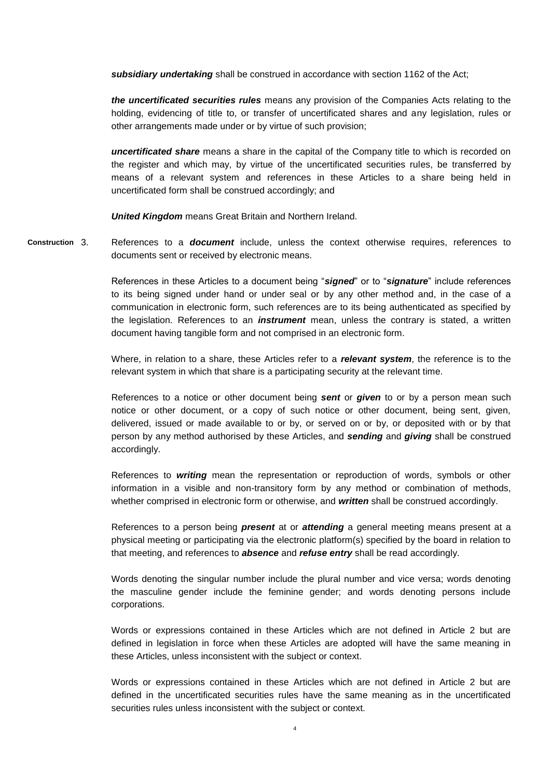*subsidiary undertaking* shall be construed in accordance with section 1162 of the Act;

*the uncertificated securities rules* means any provision of the Companies Acts relating to the holding, evidencing of title to, or transfer of uncertificated shares and any legislation, rules or other arrangements made under or by virtue of such provision;

*uncertificated share* means a share in the capital of the Company title to which is recorded on the register and which may, by virtue of the uncertificated securities rules, be transferred by means of a relevant system and references in these Articles to a share being held in uncertificated form shall be construed accordingly; and

*United Kingdom* means Great Britain and Northern Ireland.

3. References to a *document* include, unless the context otherwise requires, references to documents sent or received by electronic means. **Construction**

> References in these Articles to a document being "*signed*" or to "*signature*" include references to its being signed under hand or under seal or by any other method and, in the case of a communication in electronic form, such references are to its being authenticated as specified by the legislation. References to an *instrument* mean, unless the contrary is stated, a written document having tangible form and not comprised in an electronic form.

> Where, in relation to a share, these Articles refer to a *relevant system*, the reference is to the relevant system in which that share is a participating security at the relevant time.

> References to a notice or other document being *sent* or *given* to or by a person mean such notice or other document, or a copy of such notice or other document, being sent, given, delivered, issued or made available to or by, or served on or by, or deposited with or by that person by any method authorised by these Articles, and *sending* and *giving* shall be construed accordingly.

> References to *writing* mean the representation or reproduction of words, symbols or other information in a visible and non-transitory form by any method or combination of methods, whether comprised in electronic form or otherwise, and *written* shall be construed accordingly.

> References to a person being *present* at or *attending* a general meeting means present at a physical meeting or participating via the electronic platform(s) specified by the board in relation to that meeting, and references to *absence* and *refuse entry* shall be read accordingly.

> Words denoting the singular number include the plural number and vice versa; words denoting the masculine gender include the feminine gender; and words denoting persons include corporations.

> Words or expressions contained in these Articles which are not defined in Article 2 but are defined in legislation in force when these Articles are adopted will have the same meaning in these Articles, unless inconsistent with the subject or context.

> Words or expressions contained in these Articles which are not defined in Article 2 but are defined in the uncertificated securities rules have the same meaning as in the uncertificated securities rules unless inconsistent with the subject or context.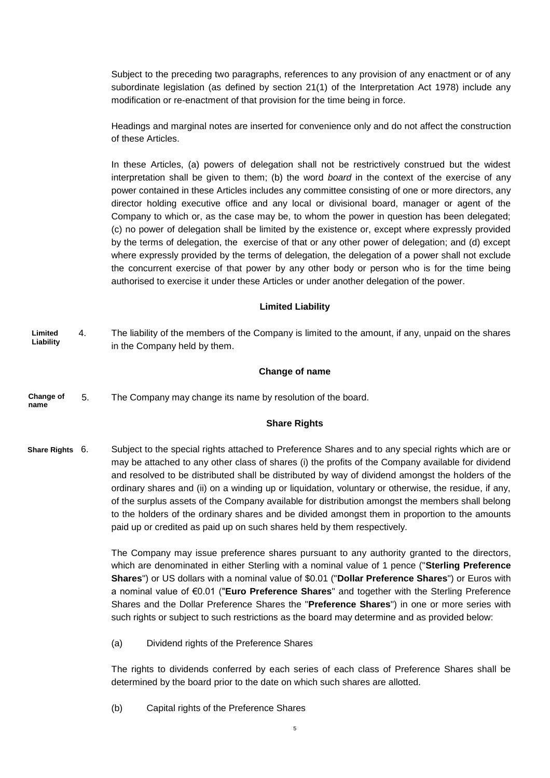Subject to the preceding two paragraphs, references to any provision of any enactment or of any subordinate legislation (as defined by section 21(1) of the Interpretation Act 1978) include any modification or re-enactment of that provision for the time being in force.

Headings and marginal notes are inserted for convenience only and do not affect the construction of these Articles.

In these Articles, (a) powers of delegation shall not be restrictively construed but the widest interpretation shall be given to them; (b) the word *board* in the context of the exercise of any power contained in these Articles includes any committee consisting of one or more directors, any director holding executive office and any local or divisional board, manager or agent of the Company to which or, as the case may be, to whom the power in question has been delegated; (c) no power of delegation shall be limited by the existence or, except where expressly provided by the terms of delegation, the exercise of that or any other power of delegation; and (d) except where expressly provided by the terms of delegation, the delegation of a power shall not exclude the concurrent exercise of that power by any other body or person who is for the time being authorised to exercise it under these Articles or under another delegation of the power.

## **Limited Liability**

4. The liability of the members of the Company is limited to the amount, if any, unpaid on the shares in the Company held by them. **Limited Liability**

#### **Change of name**

5. The Company may change its name by resolution of the board. **Change of name**

#### **Share Rights**

Subject to the special rights attached to Preference Shares and to any special rights which are or may be attached to any other class of shares (i) the profits of the Company available for dividend and resolved to be distributed shall be distributed by way of dividend amongst the holders of the ordinary shares and (ii) on a winding up or liquidation, voluntary or otherwise, the residue, if any, of the surplus assets of the Company available for distribution amongst the members shall belong to the holders of the ordinary shares and be divided amongst them in proportion to the amounts paid up or credited as paid up on such shares held by them respectively. **Share Rights**

> The Company may issue preference shares pursuant to any authority granted to the directors, which are denominated in either Sterling with a nominal value of 1 pence ("**Sterling Preference Shares**") or US dollars with a nominal value of \$0.01 ("**Dollar Preference Shares**") or Euros with a nominal value of €0.01 ("**Euro Preference Shares**" and together with the Sterling Preference Shares and the Dollar Preference Shares the "**Preference Shares**") in one or more series with such rights or subject to such restrictions as the board may determine and as provided below:

(a) Dividend rights of the Preference Shares

The rights to dividends conferred by each series of each class of Preference Shares shall be determined by the board prior to the date on which such shares are allotted.

(b) Capital rights of the Preference Shares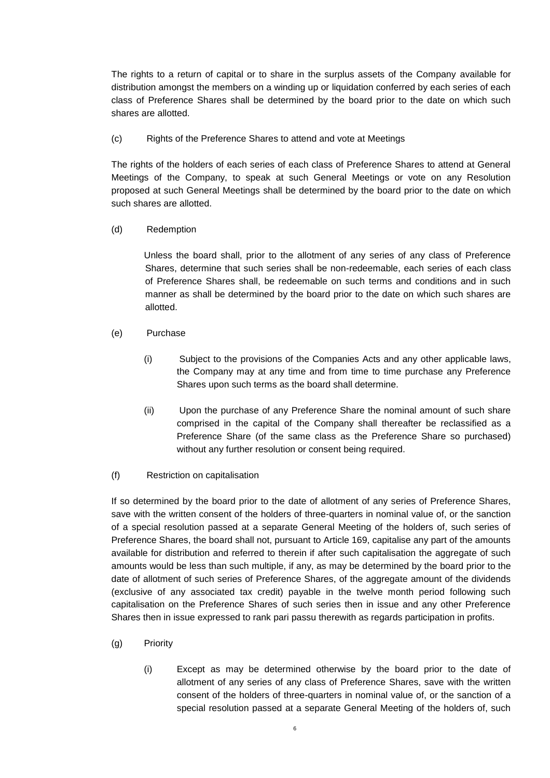The rights to a return of capital or to share in the surplus assets of the Company available for distribution amongst the members on a winding up or liquidation conferred by each series of each class of Preference Shares shall be determined by the board prior to the date on which such shares are allotted.

## (c) Rights of the Preference Shares to attend and vote at Meetings

The rights of the holders of each series of each class of Preference Shares to attend at General Meetings of the Company, to speak at such General Meetings or vote on any Resolution proposed at such General Meetings shall be determined by the board prior to the date on which such shares are allotted.

## (d) Redemption

Unless the board shall, prior to the allotment of any series of any class of Preference Shares, determine that such series shall be non-redeemable, each series of each class of Preference Shares shall, be redeemable on such terms and conditions and in such manner as shall be determined by the board prior to the date on which such shares are allotted.

- (e) Purchase
	- (i) Subject to the provisions of the Companies Acts and any other applicable laws, the Company may at any time and from time to time purchase any Preference Shares upon such terms as the board shall determine.
	- (ii) Upon the purchase of any Preference Share the nominal amount of such share comprised in the capital of the Company shall thereafter be reclassified as a Preference Share (of the same class as the Preference Share so purchased) without any further resolution or consent being required.
- (f) Restriction on capitalisation

If so determined by the board prior to the date of allotment of any series of Preference Shares, save with the written consent of the holders of three-quarters in nominal value of, or the sanction of a special resolution passed at a separate General Meeting of the holders of, such series of Preference Shares, the board shall not, pursuant to Article 169, capitalise any part of the amounts available for distribution and referred to therein if after such capitalisation the aggregate of such amounts would be less than such multiple, if any, as may be determined by the board prior to the date of allotment of such series of Preference Shares, of the aggregate amount of the dividends (exclusive of any associated tax credit) payable in the twelve month period following such capitalisation on the Preference Shares of such series then in issue and any other Preference Shares then in issue expressed to rank pari passu therewith as regards participation in profits.

- (g) Priority
	- (i) Except as may be determined otherwise by the board prior to the date of allotment of any series of any class of Preference Shares, save with the written consent of the holders of three-quarters in nominal value of, or the sanction of a special resolution passed at a separate General Meeting of the holders of, such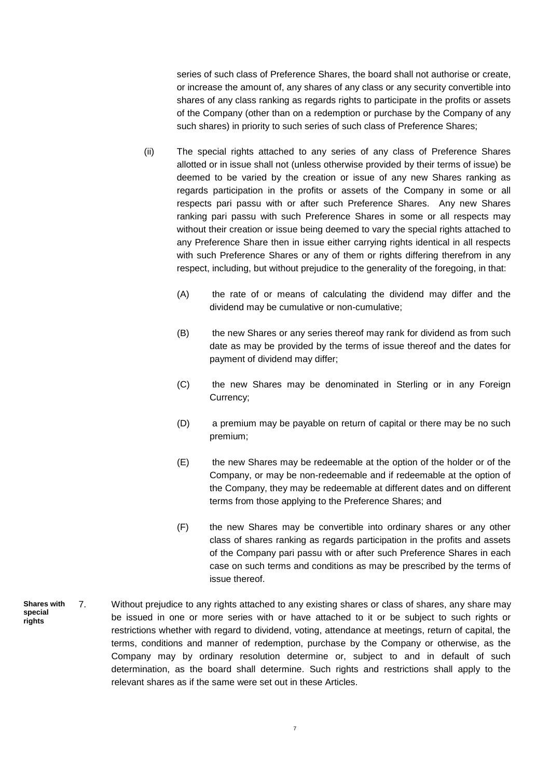series of such class of Preference Shares, the board shall not authorise or create, or increase the amount of, any shares of any class or any security convertible into shares of any class ranking as regards rights to participate in the profits or assets of the Company (other than on a redemption or purchase by the Company of any such shares) in priority to such series of such class of Preference Shares;

- (ii) The special rights attached to any series of any class of Preference Shares allotted or in issue shall not (unless otherwise provided by their terms of issue) be deemed to be varied by the creation or issue of any new Shares ranking as regards participation in the profits or assets of the Company in some or all respects pari passu with or after such Preference Shares. Any new Shares ranking pari passu with such Preference Shares in some or all respects may without their creation or issue being deemed to vary the special rights attached to any Preference Share then in issue either carrying rights identical in all respects with such Preference Shares or any of them or rights differing therefrom in any respect, including, but without prejudice to the generality of the foregoing, in that:
	- (A) the rate of or means of calculating the dividend may differ and the dividend may be cumulative or non-cumulative;
	- (B) the new Shares or any series thereof may rank for dividend as from such date as may be provided by the terms of issue thereof and the dates for payment of dividend may differ;
	- (C) the new Shares may be denominated in Sterling or in any Foreign Currency;
	- (D) a premium may be payable on return of capital or there may be no such premium;
	- (E) the new Shares may be redeemable at the option of the holder or of the Company, or may be non-redeemable and if redeemable at the option of the Company, they may be redeemable at different dates and on different terms from those applying to the Preference Shares; and
	- (F) the new Shares may be convertible into ordinary shares or any other class of shares ranking as regards participation in the profits and assets of the Company pari passu with or after such Preference Shares in each case on such terms and conditions as may be prescribed by the terms of issue thereof.
- 7. Without prejudice to any rights attached to any existing shares or class of shares, any share may be issued in one or more series with or have attached to it or be subject to such rights or restrictions whether with regard to dividend, voting, attendance at meetings, return of capital, the terms, conditions and manner of redemption, purchase by the Company or otherwise, as the Company may by ordinary resolution determine or, subject to and in default of such determination, as the board shall determine. Such rights and restrictions shall apply to the relevant shares as if the same were set out in these Articles. **Shares with special rights**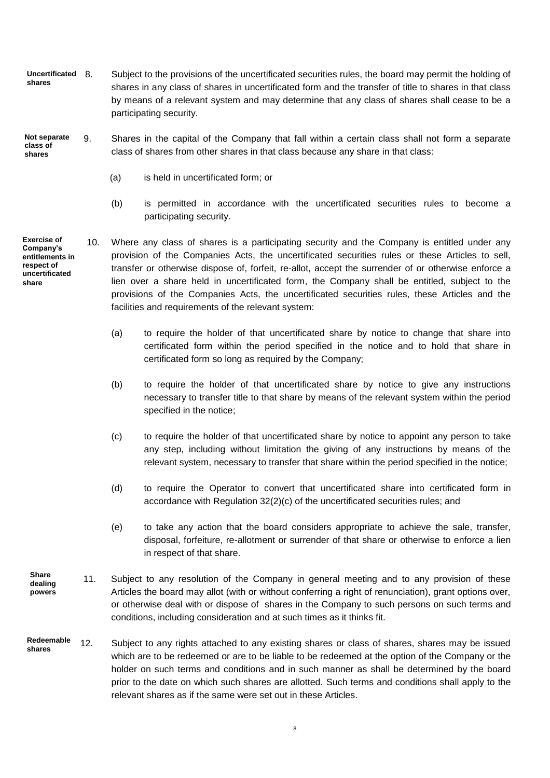- 8. Subject to the provisions of the uncertificated securities rules, the board may permit the holding of shares in any class of shares in uncertificated form and the transfer of title to shares in that class by means of a relevant system and may determine that any class of shares shall cease to be a participating security. **Uncertificated shares**
- 9. Shares in the capital of the Company that fall within a certain class shall not form a separate class of shares from other shares in that class because any share in that class: **Not separate class of shares**
	- (a) is held in uncertificated form; or
	- (b) is permitted in accordance with the uncertificated securities rules to become a participating security.
- **Exercise of Company's entitlements in respect of uncertificated share**
	- 10. Where any class of shares is a participating security and the Company is entitled under any provision of the Companies Acts, the uncertificated securities rules or these Articles to sell, transfer or otherwise dispose of, forfeit, re-allot, accept the surrender of or otherwise enforce a lien over a share held in uncertificated form, the Company shall be entitled, subject to the provisions of the Companies Acts, the uncertificated securities rules, these Articles and the facilities and requirements of the relevant system:
		- (a) to require the holder of that uncertificated share by notice to change that share into certificated form within the period specified in the notice and to hold that share in certificated form so long as required by the Company;
		- (b) to require the holder of that uncertificated share by notice to give any instructions necessary to transfer title to that share by means of the relevant system within the period specified in the notice;
		- (c) to require the holder of that uncertificated share by notice to appoint any person to take any step, including without limitation the giving of any instructions by means of the relevant system, necessary to transfer that share within the period specified in the notice;
		- (d) to require the Operator to convert that uncertificated share into certificated form in accordance with Regulation 32(2)(c) of the uncertificated securities rules; and
		- (e) to take any action that the board considers appropriate to achieve the sale, transfer, disposal, forfeiture, re-allotment or surrender of that share or otherwise to enforce a lien in respect of that share.
	- 11. Subject to any resolution of the Company in general meeting and to any provision of these Articles the board may allot (with or without conferring a right of renunciation), grant options over, or otherwise deal with or dispose of shares in the Company to such persons on such terms and conditions, including consideration and at such times as it thinks fit. **Share dealing powers**
- 12. Subject to any rights attached to any existing shares or class of shares, shares may be issued which are to be redeemed or are to be liable to be redeemed at the option of the Company or the holder on such terms and conditions and in such manner as shall be determined by the board prior to the date on which such shares are allotted. Such terms and conditions shall apply to the relevant shares as if the same were set out in these Articles. **Redeemable shares**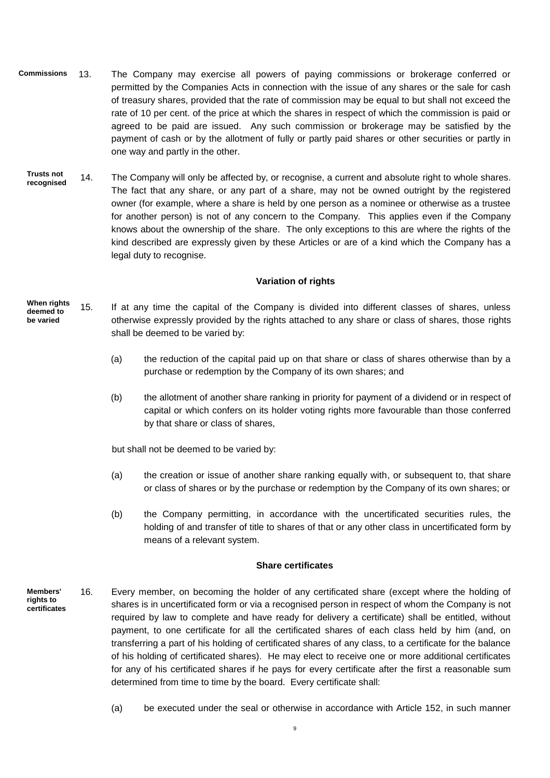- 13. The Company may exercise all powers of paying commissions or brokerage conferred or permitted by the Companies Acts in connection with the issue of any shares or the sale for cash of treasury shares, provided that the rate of commission may be equal to but shall not exceed the rate of 10 per cent. of the price at which the shares in respect of which the commission is paid or agreed to be paid are issued. Any such commission or brokerage may be satisfied by the payment of cash or by the allotment of fully or partly paid shares or other securities or partly in one way and partly in the other. **Commissions**
	- 14. The Company will only be affected by, or recognise, a current and absolute right to whole shares. The fact that any share, or any part of a share, may not be owned outright by the registered owner (for example, where a share is held by one person as a nominee or otherwise as a trustee for another person) is not of any concern to the Company. This applies even if the Company knows about the ownership of the share. The only exceptions to this are where the rights of the kind described are expressly given by these Articles or are of a kind which the Company has a legal duty to recognise. **Trusts not recognised**

## **Variation of rights**

- 15. If at any time the capital of the Company is divided into different classes of shares, unless otherwise expressly provided by the rights attached to any share or class of shares, those rights shall be deemed to be varied by: **When rights deemed to be varied**
	- (a) the reduction of the capital paid up on that share or class of shares otherwise than by a purchase or redemption by the Company of its own shares; and
	- (b) the allotment of another share ranking in priority for payment of a dividend or in respect of capital or which confers on its holder voting rights more favourable than those conferred by that share or class of shares,

but shall not be deemed to be varied by:

- (a) the creation or issue of another share ranking equally with, or subsequent to, that share or class of shares or by the purchase or redemption by the Company of its own shares; or
- (b) the Company permitting, in accordance with the uncertificated securities rules, the holding of and transfer of title to shares of that or any other class in uncertificated form by means of a relevant system.

#### **Share certificates**

- 16. Every member, on becoming the holder of any certificated share (except where the holding of shares is in uncertificated form or via a recognised person in respect of whom the Company is not required by law to complete and have ready for delivery a certificate) shall be entitled, without payment, to one certificate for all the certificated shares of each class held by him (and, on transferring a part of his holding of certificated shares of any class, to a certificate for the balance of his holding of certificated shares). He may elect to receive one or more additional certificates for any of his certificated shares if he pays for every certificate after the first a reasonable sum determined from time to time by the board. Every certificate shall: **Members' rights to certificates**
	- (a) be executed under the seal or otherwise in accordance with Article 152, in such manner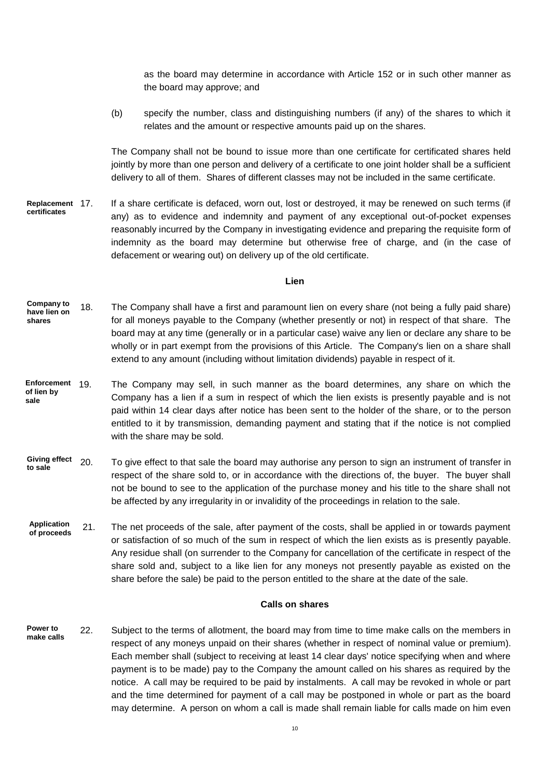as the board may determine in accordance with Article 152 or in such other manner as the board may approve; and

(b) specify the number, class and distinguishing numbers (if any) of the shares to which it relates and the amount or respective amounts paid up on the shares.

The Company shall not be bound to issue more than one certificate for certificated shares held jointly by more than one person and delivery of a certificate to one joint holder shall be a sufficient delivery to all of them. Shares of different classes may not be included in the same certificate.

If a share certificate is defaced, worn out, lost or destroyed, it may be renewed on such terms (if any) as to evidence and indemnity and payment of any exceptional out-of-pocket expenses reasonably incurred by the Company in investigating evidence and preparing the requisite form of indemnity as the board may determine but otherwise free of charge, and (in the case of defacement or wearing out) on delivery up of the old certificate. **Replacement certificates**

#### **Lien**

- 18. The Company shall have a first and paramount lien on every share (not being a fully paid share) for all moneys payable to the Company (whether presently or not) in respect of that share. The board may at any time (generally or in a particular case) waive any lien or declare any share to be wholly or in part exempt from the provisions of this Article. The Company's lien on a share shall extend to any amount (including without limitation dividends) payable in respect of it. **Company to have lien on shares**
- 19. The Company may sell, in such manner as the board determines, any share on which the Company has a lien if a sum in respect of which the lien exists is presently payable and is not paid within 14 clear days after notice has been sent to the holder of the share, or to the person entitled to it by transmission, demanding payment and stating that if the notice is not complied with the share may be sold. **Enforcement of lien by sale**
- 20. To give effect to that sale the board may authorise any person to sign an instrument of transfer in respect of the share sold to, or in accordance with the directions of, the buyer. The buyer shall not be bound to see to the application of the purchase money and his title to the share shall not be affected by any irregularity in or invalidity of the proceedings in relation to the sale. **Giving effect to sale**
- 21. The net proceeds of the sale, after payment of the costs, shall be applied in or towards payment or satisfaction of so much of the sum in respect of which the lien exists as is presently payable. Any residue shall (on surrender to the Company for cancellation of the certificate in respect of the share sold and, subject to a like lien for any moneys not presently payable as existed on the share before the sale) be paid to the person entitled to the share at the date of the sale. **Application of proceeds**

### **Calls on shares**

22. Subject to the terms of allotment, the board may from time to time make calls on the members in respect of any moneys unpaid on their shares (whether in respect of nominal value or premium). Each member shall (subject to receiving at least 14 clear days' notice specifying when and where payment is to be made) pay to the Company the amount called on his shares as required by the notice. A call may be required to be paid by instalments. A call may be revoked in whole or part and the time determined for payment of a call may be postponed in whole or part as the board may determine. A person on whom a call is made shall remain liable for calls made on him even **Power to make calls**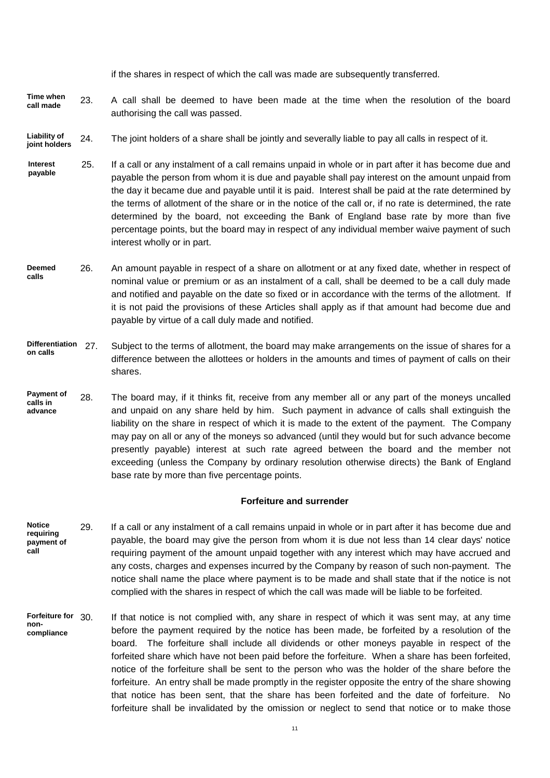if the shares in respect of which the call was made are subsequently transferred.

- 23. A call shall be deemed to have been made at the time when the resolution of the board authorising the call was passed. **Time when call made**
- 24. The joint holders of a share shall be jointly and severally liable to pay all calls in respect of it. **Liability of joint holders**
- 25. If a call or any instalment of a call remains unpaid in whole or in part after it has become due and payable the person from whom it is due and payable shall pay interest on the amount unpaid from the day it became due and payable until it is paid. Interest shall be paid at the rate determined by the terms of allotment of the share or in the notice of the call or, if no rate is determined, the rate determined by the board, not exceeding the Bank of England base rate by more than five percentage points, but the board may in respect of any individual member waive payment of such interest wholly or in part. **Interest payable**
- 26. An amount payable in respect of a share on allotment or at any fixed date, whether in respect of nominal value or premium or as an instalment of a call, shall be deemed to be a call duly made and notified and payable on the date so fixed or in accordance with the terms of the allotment. If it is not paid the provisions of these Articles shall apply as if that amount had become due and payable by virtue of a call duly made and notified. **Deemed calls**
- Subject to the terms of allotment, the board may make arrangements on the issue of shares for a difference between the allottees or holders in the amounts and times of payment of calls on their shares. **Differentiation on calls**
- 28. The board may, if it thinks fit, receive from any member all or any part of the moneys uncalled and unpaid on any share held by him. Such payment in advance of calls shall extinguish the liability on the share in respect of which it is made to the extent of the payment. The Company may pay on all or any of the moneys so advanced (until they would but for such advance become presently payable) interest at such rate agreed between the board and the member not exceeding (unless the Company by ordinary resolution otherwise directs) the Bank of England base rate by more than five percentage points. **Payment of calls in advance**

#### **Forfeiture and surrender**

- 29. If a call or any instalment of a call remains unpaid in whole or in part after it has become due and payable, the board may give the person from whom it is due not less than 14 clear days' notice requiring payment of the amount unpaid together with any interest which may have accrued and any costs, charges and expenses incurred by the Company by reason of such non-payment. The notice shall name the place where payment is to be made and shall state that if the notice is not complied with the shares in respect of which the call was made will be liable to be forfeited. **Notice requiring payment of call**
- If that notice is not complied with, any share in respect of which it was sent may, at any time before the payment required by the notice has been made, be forfeited by a resolution of the board. The forfeiture shall include all dividends or other moneys payable in respect of the forfeited share which have not been paid before the forfeiture. When a share has been forfeited, notice of the forfeiture shall be sent to the person who was the holder of the share before the forfeiture. An entry shall be made promptly in the register opposite the entry of the share showing that notice has been sent, that the share has been forfeited and the date of forfeiture. No forfeiture shall be invalidated by the omission or neglect to send that notice or to make those **Forfeiture for noncompliance**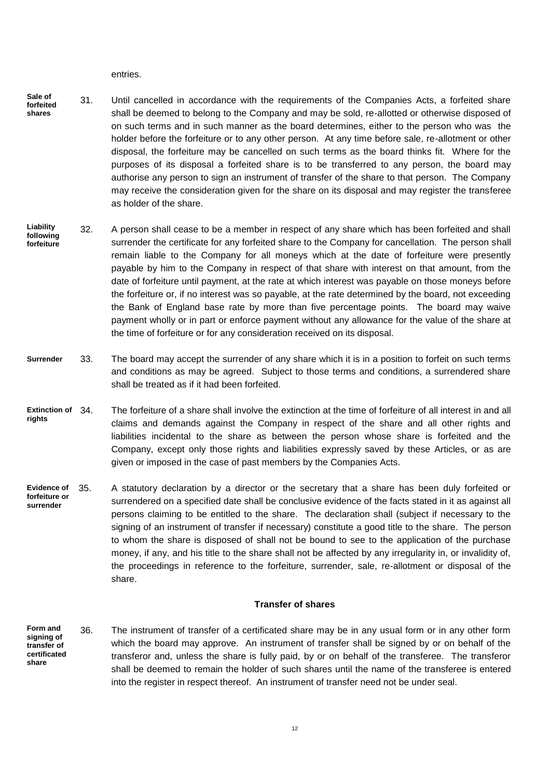entries.

- 31. Until cancelled in accordance with the requirements of the Companies Acts, a forfeited share shall be deemed to belong to the Company and may be sold, re-allotted or otherwise disposed of on such terms and in such manner as the board determines, either to the person who was the holder before the forfeiture or to any other person. At any time before sale, re-allotment or other disposal, the forfeiture may be cancelled on such terms as the board thinks fit. Where for the purposes of its disposal a forfeited share is to be transferred to any person, the board may authorise any person to sign an instrument of transfer of the share to that person. The Company may receive the consideration given for the share on its disposal and may register the transferee as holder of the share. **Sale of forfeited shares**
- 32. A person shall cease to be a member in respect of any share which has been forfeited and shall surrender the certificate for any forfeited share to the Company for cancellation. The person shall remain liable to the Company for all moneys which at the date of forfeiture were presently payable by him to the Company in respect of that share with interest on that amount, from the date of forfeiture until payment, at the rate at which interest was payable on those moneys before the forfeiture or, if no interest was so payable, at the rate determined by the board, not exceeding the Bank of England base rate by more than five percentage points. The board may waive payment wholly or in part or enforce payment without any allowance for the value of the share at the time of forfeiture or for any consideration received on its disposal. **Liability following forfeiture**
- 33. The board may accept the surrender of any share which it is in a position to forfeit on such terms and conditions as may be agreed. Subject to those terms and conditions, a surrendered share shall be treated as if it had been forfeited. **Surrender**
- The forfeiture of a share shall involve the extinction at the time of forfeiture of all interest in and all claims and demands against the Company in respect of the share and all other rights and liabilities incidental to the share as between the person whose share is forfeited and the Company, except only those rights and liabilities expressly saved by these Articles, or as are given or imposed in the case of past members by the Companies Acts. **Extinction of 34. rights**
- 35. A statutory declaration by a director or the secretary that a share has been duly forfeited or surrendered on a specified date shall be conclusive evidence of the facts stated in it as against all persons claiming to be entitled to the share. The declaration shall (subject if necessary to the signing of an instrument of transfer if necessary) constitute a good title to the share. The person to whom the share is disposed of shall not be bound to see to the application of the purchase money, if any, and his title to the share shall not be affected by any irregularity in, or invalidity of, the proceedings in reference to the forfeiture, surrender, sale, re-allotment or disposal of the share. **Evidence of forfeiture or surrender**

#### **Transfer of shares**

36. The instrument of transfer of a certificated share may be in any usual form or in any other form which the board may approve. An instrument of transfer shall be signed by or on behalf of the transferor and, unless the share is fully paid, by or on behalf of the transferee. The transferor shall be deemed to remain the holder of such shares until the name of the transferee is entered into the register in respect thereof. An instrument of transfer need not be under seal. **Form and signing of transfer of certificated share**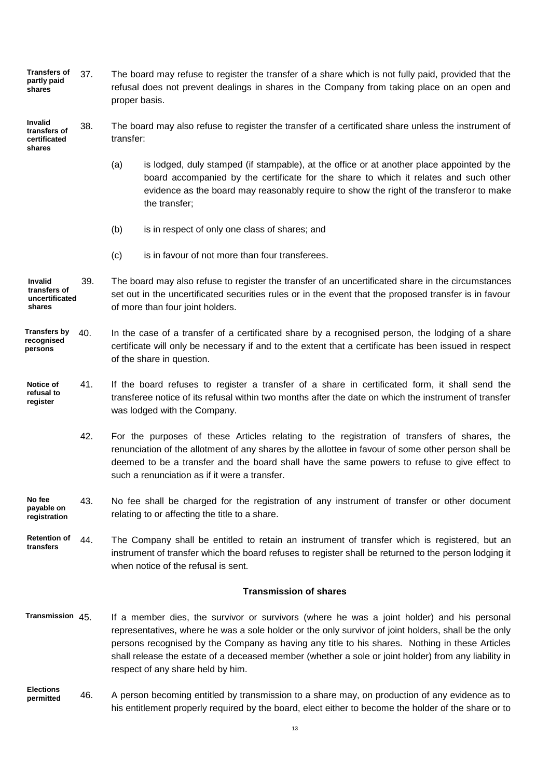37. The board may refuse to register the transfer of a share which is not fully paid, provided that the refusal does not prevent dealings in shares in the Company from taking place on an open and proper basis. **Transfers of partly paid shares**

38. The board may also refuse to register the transfer of a certificated share unless the instrument of transfer: **Invalid transfers of certificated shares**

- (a) is lodged, duly stamped (if stampable), at the office or at another place appointed by the board accompanied by the certificate for the share to which it relates and such other evidence as the board may reasonably require to show the right of the transferor to make the transfer;
- (b) is in respect of only one class of shares; and
- (c) is in favour of not more than four transferees.

39. The board may also refuse to register the transfer of an uncertificated share in the circumstances set out in the uncertificated securities rules or in the event that the proposed transfer is in favour of more than four joint holders. **Invalid transfers of uncertificated shares**

#### 40. In the case of a transfer of a certificated share by a recognised person, the lodging of a share certificate will only be necessary if and to the extent that a certificate has been issued in respect of the share in question. **Transfers by recognised persons**

- 41. If the board refuses to register a transfer of a share in certificated form, it shall send the transferee notice of its refusal within two months after the date on which the instrument of transfer was lodged with the Company. **Notice of refusal to register**
	- 42. For the purposes of these Articles relating to the registration of transfers of shares, the renunciation of the allotment of any shares by the allottee in favour of some other person shall be deemed to be a transfer and the board shall have the same powers to refuse to give effect to such a renunciation as if it were a transfer.

#### 43. No fee shall be charged for the registration of any instrument of transfer or other document relating to or affecting the title to a share. **No fee payable on registration**

44. The Company shall be entitled to retain an instrument of transfer which is registered, but an instrument of transfer which the board refuses to register shall be returned to the person lodging it when notice of the refusal is sent. **Retention of transfers**

#### **Transmission of shares**

- If a member dies, the survivor or survivors (where he was a joint holder) and his personal representatives, where he was a sole holder or the only survivor of joint holders, shall be the only persons recognised by the Company as having any title to his shares. Nothing in these Articles shall release the estate of a deceased member (whether a sole or joint holder) from any liability in respect of any share held by him. **Transmission**
- 46. A person becoming entitled by transmission to a share may, on production of any evidence as to his entitlement properly required by the board, elect either to become the holder of the share or to **Elections permitted**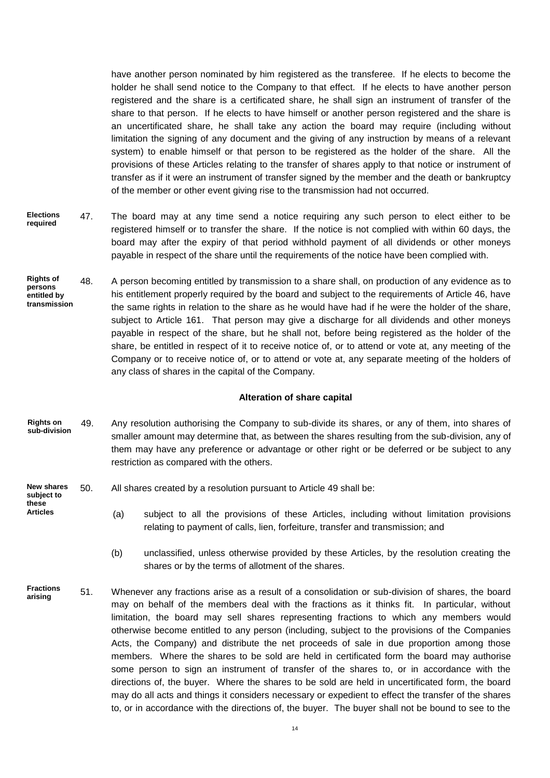have another person nominated by him registered as the transferee. If he elects to become the holder he shall send notice to the Company to that effect. If he elects to have another person registered and the share is a certificated share, he shall sign an instrument of transfer of the share to that person. If he elects to have himself or another person registered and the share is an uncertificated share, he shall take any action the board may require (including without limitation the signing of any document and the giving of any instruction by means of a relevant system) to enable himself or that person to be registered as the holder of the share. All the provisions of these Articles relating to the transfer of shares apply to that notice or instrument of transfer as if it were an instrument of transfer signed by the member and the death or bankruptcy of the member or other event giving rise to the transmission had not occurred.

- 47. The board may at any time send a notice requiring any such person to elect either to be registered himself or to transfer the share. If the notice is not complied with within 60 days, the board may after the expiry of that period withhold payment of all dividends or other moneys payable in respect of the share until the requirements of the notice have been complied with. **Elections required**
- 48. A person becoming entitled by transmission to a share shall, on production of any evidence as to his entitlement properly required by the board and subject to the requirements of Article 46, have the same rights in relation to the share as he would have had if he were the holder of the share, subject to Article 161. That person may give a discharge for all dividends and other moneys payable in respect of the share, but he shall not, before being registered as the holder of the share, be entitled in respect of it to receive notice of, or to attend or vote at, any meeting of the Company or to receive notice of, or to attend or vote at, any separate meeting of the holders of any class of shares in the capital of the Company. **Rights of persons entitled by transmission**

#### **Alteration of share capital**

- 49. Any resolution authorising the Company to sub-divide its shares, or any of them, into shares of smaller amount may determine that, as between the shares resulting from the sub-division, any of them may have any preference or advantage or other right or be deferred or be subject to any restriction as compared with the others. **Rights on sub-division**
- 50. All shares created by a resolution pursuant to Article 49 shall be: **New shares subject to**

**these Articles**

- (a) subject to all the provisions of these Articles, including without limitation provisions relating to payment of calls, lien, forfeiture, transfer and transmission; and
- (b) unclassified, unless otherwise provided by these Articles, by the resolution creating the shares or by the terms of allotment of the shares.
- 51. Whenever any fractions arise as a result of a consolidation or sub-division of shares, the board may on behalf of the members deal with the fractions as it thinks fit. In particular, without limitation, the board may sell shares representing fractions to which any members would otherwise become entitled to any person (including, subject to the provisions of the Companies Acts, the Company) and distribute the net proceeds of sale in due proportion among those members. Where the shares to be sold are held in certificated form the board may authorise some person to sign an instrument of transfer of the shares to, or in accordance with the directions of, the buyer. Where the shares to be sold are held in uncertificated form, the board may do all acts and things it considers necessary or expedient to effect the transfer of the shares to, or in accordance with the directions of, the buyer. The buyer shall not be bound to see to the **Fractions arising**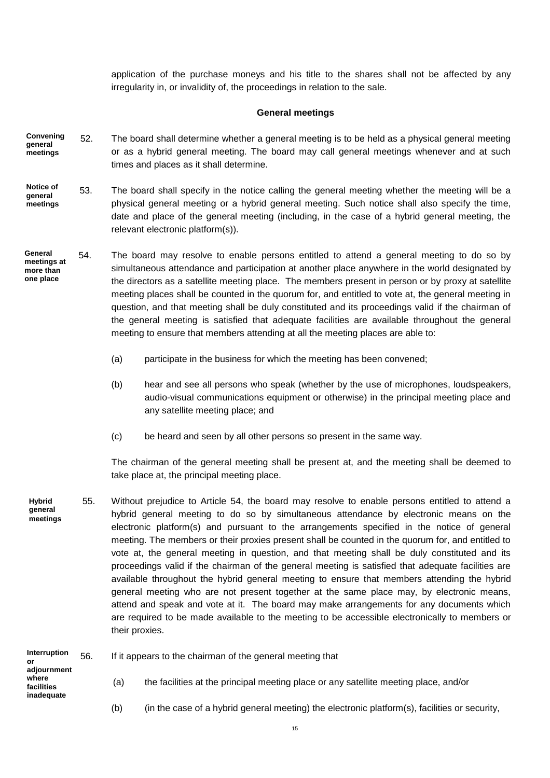application of the purchase moneys and his title to the shares shall not be affected by any irregularity in, or invalidity of, the proceedings in relation to the sale.

### **General meetings**

- 52. The board shall determine whether a general meeting is to be held as a physical general meeting or as a hybrid general meeting. The board may call general meetings whenever and at such times and places as it shall determine. **Convening general meetings**
- 53. The board shall specify in the notice calling the general meeting whether the meeting will be a physical general meeting or a hybrid general meeting. Such notice shall also specify the time, date and place of the general meeting (including, in the case of a hybrid general meeting, the relevant electronic platform(s)). **Notice of general meetings**
- 54. The board may resolve to enable persons entitled to attend a general meeting to do so by simultaneous attendance and participation at another place anywhere in the world designated by the directors as a satellite meeting place. The members present in person or by proxy at satellite meeting places shall be counted in the quorum for, and entitled to vote at, the general meeting in question, and that meeting shall be duly constituted and its proceedings valid if the chairman of the general meeting is satisfied that adequate facilities are available throughout the general meeting to ensure that members attending at all the meeting places are able to: **General meetings at more than one place**
	- (a) participate in the business for which the meeting has been convened;
	- (b) hear and see all persons who speak (whether by the use of microphones, loudspeakers, audio-visual communications equipment or otherwise) in the principal meeting place and any satellite meeting place; and
	- (c) be heard and seen by all other persons so present in the same way.

The chairman of the general meeting shall be present at, and the meeting shall be deemed to take place at, the principal meeting place.

55. Without prejudice to Article 54, the board may resolve to enable persons entitled to attend a hybrid general meeting to do so by simultaneous attendance by electronic means on the electronic platform(s) and pursuant to the arrangements specified in the notice of general meeting. The members or their proxies present shall be counted in the quorum for, and entitled to vote at, the general meeting in question, and that meeting shall be duly constituted and its proceedings valid if the chairman of the general meeting is satisfied that adequate facilities are available throughout the hybrid general meeting to ensure that members attending the hybrid general meeting who are not present together at the same place may, by electronic means, attend and speak and vote at it. The board may make arrangements for any documents which are required to be made available to the meeting to be accessible electronically to members or their proxies. **Hybrid general meetings**

| Interruption<br>or<br>adjournment<br>where<br>facilities<br>inadequate | 56. | If it appears to the chairman of the general meeting that |                                                                                       |
|------------------------------------------------------------------------|-----|-----------------------------------------------------------|---------------------------------------------------------------------------------------|
|                                                                        |     | (a)                                                       | the facilities at the principal meeting place or any satellite meeting place, and/or  |
|                                                                        |     | (b)                                                       | (in the case of a hybrid general meeting) the electronic platform(s), facilities or s |

- 
- (b) (in the case of a hybrid general meeting) the electronic platform(s), facilities or security,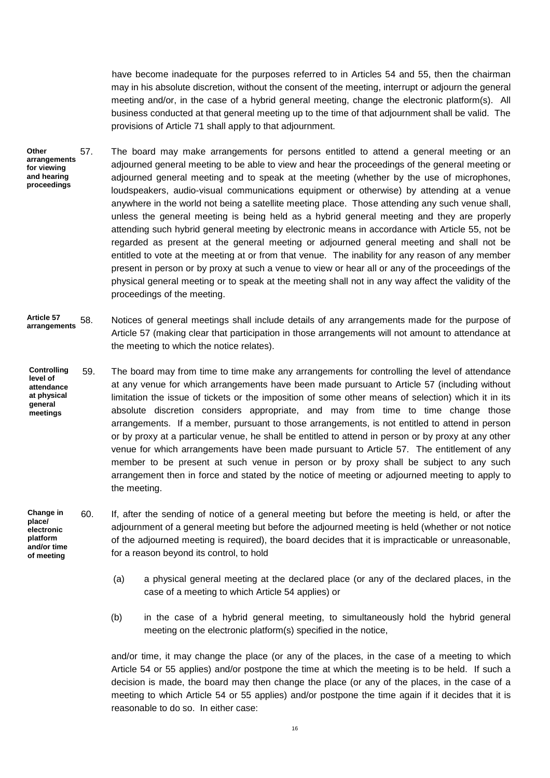have become inadequate for the purposes referred to in Articles 54 and 55, then the chairman may in his absolute discretion, without the consent of the meeting, interrupt or adjourn the general meeting and/or, in the case of a hybrid general meeting, change the electronic platform(s). All business conducted at that general meeting up to the time of that adjournment shall be valid. The provisions of Article 71 shall apply to that adjournment.

- 57. The board may make arrangements for persons entitled to attend a general meeting or an adjourned general meeting to be able to view and hear the proceedings of the general meeting or adjourned general meeting and to speak at the meeting (whether by the use of microphones, loudspeakers, audio-visual communications equipment or otherwise) by attending at a venue anywhere in the world not being a satellite meeting place. Those attending any such venue shall, unless the general meeting is being held as a hybrid general meeting and they are properly attending such hybrid general meeting by electronic means in accordance with Article 55, not be regarded as present at the general meeting or adjourned general meeting and shall not be entitled to vote at the meeting at or from that venue. The inability for any reason of any member present in person or by proxy at such a venue to view or hear all or any of the proceedings of the physical general meeting or to speak at the meeting shall not in any way affect the validity of the proceedings of the meeting. **Other arrangements for viewing and hearing proceedings**
- 58. Notices of general meetings shall include details of any arrangements made for the purpose of Article 57 (making clear that participation in those arrangements will not amount to attendance at the meeting to which the notice relates). **Article 57 arrangements**
- 59. The board may from time to time make any arrangements for controlling the level of attendance at any venue for which arrangements have been made pursuant to Article 57 (including without limitation the issue of tickets or the imposition of some other means of selection) which it in its absolute discretion considers appropriate, and may from time to time change those arrangements. If a member, pursuant to those arrangements, is not entitled to attend in person or by proxy at a particular venue, he shall be entitled to attend in person or by proxy at any other venue for which arrangements have been made pursuant to Article 57. The entitlement of any member to be present at such venue in person or by proxy shall be subject to any such arrangement then in force and stated by the notice of meeting or adjourned meeting to apply to the meeting. **Controlling level of attendance at physical general meetings**
- 60. If, after the sending of notice of a general meeting but before the meeting is held, or after the adjournment of a general meeting but before the adjourned meeting is held (whether or not notice of the adjourned meeting is required), the board decides that it is impracticable or unreasonable, for a reason beyond its control, to hold **Change in place/ electronic platform and/or time of meeting**
	- (a) a physical general meeting at the declared place (or any of the declared places, in the case of a meeting to which Article 54 applies) or
	- (b) in the case of a hybrid general meeting, to simultaneously hold the hybrid general meeting on the electronic platform(s) specified in the notice,

and/or time, it may change the place (or any of the places, in the case of a meeting to which Article 54 or 55 applies) and/or postpone the time at which the meeting is to be held. If such a decision is made, the board may then change the place (or any of the places, in the case of a meeting to which Article 54 or 55 applies) and/or postpone the time again if it decides that it is reasonable to do so. In either case: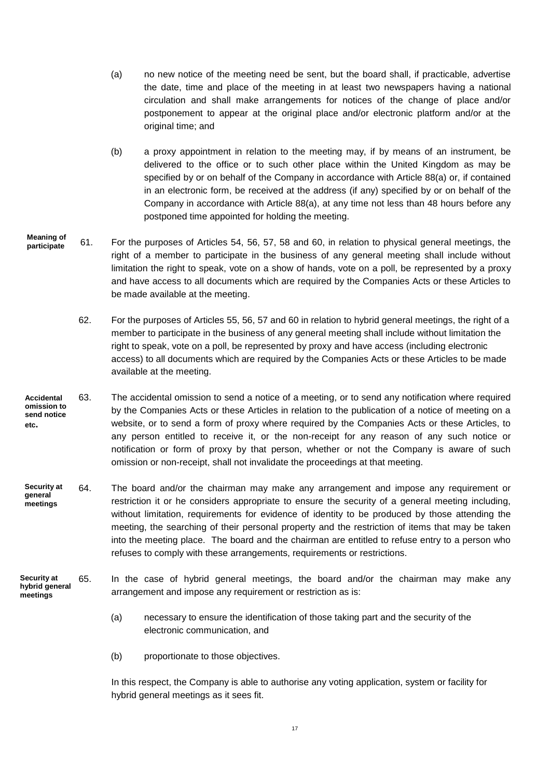- (a) no new notice of the meeting need be sent, but the board shall, if practicable, advertise the date, time and place of the meeting in at least two newspapers having a national circulation and shall make arrangements for notices of the change of place and/or postponement to appear at the original place and/or electronic platform and/or at the original time; and
- (b) a proxy appointment in relation to the meeting may, if by means of an instrument, be delivered to the office or to such other place within the United Kingdom as may be specified by or on behalf of the Company in accordance with Article 88(a) or, if contained in an electronic form, be received at the address (if any) specified by or on behalf of the Company in accordance with Article 88(a), at any time not less than 48 hours before any postponed time appointed for holding the meeting.
- 61. For the purposes of Articles 54, 56, 57, 58 and 60, in relation to physical general meetings, the right of a member to participate in the business of any general meeting shall include without limitation the right to speak, vote on a show of hands, vote on a poll, be represented by a proxy and have access to all documents which are required by the Companies Acts or these Articles to be made available at the meeting. **Meaning of participate**
	- 62. For the purposes of Articles 55, 56, 57 and 60 in relation to hybrid general meetings, the right of a member to participate in the business of any general meeting shall include without limitation the right to speak, vote on a poll, be represented by proxy and have access (including electronic access) to all documents which are required by the Companies Acts or these Articles to be made available at the meeting.
- 63. The accidental omission to send a notice of a meeting, or to send any notification where required by the Companies Acts or these Articles in relation to the publication of a notice of meeting on a website, or to send a form of proxy where required by the Companies Acts or these Articles, to any person entitled to receive it, or the non-receipt for any reason of any such notice or notification or form of proxy by that person, whether or not the Company is aware of such omission or non-receipt, shall not invalidate the proceedings at that meeting. **Accidental omission to send notice etc.**
- 64. The board and/or the chairman may make any arrangement and impose any requirement or restriction it or he considers appropriate to ensure the security of a general meeting including, without limitation, requirements for evidence of identity to be produced by those attending the meeting, the searching of their personal property and the restriction of items that may be taken into the meeting place. The board and the chairman are entitled to refuse entry to a person who refuses to comply with these arrangements, requirements or restrictions. **Security at general meetings**
- 65. In the case of hybrid general meetings, the board and/or the chairman may make any arrangement and impose any requirement or restriction as is: **Security at hybrid general meetings**
	- (a) necessary to ensure the identification of those taking part and the security of the electronic communication, and
	- (b) proportionate to those objectives.

In this respect, the Company is able to authorise any voting application, system or facility for hybrid general meetings as it sees fit.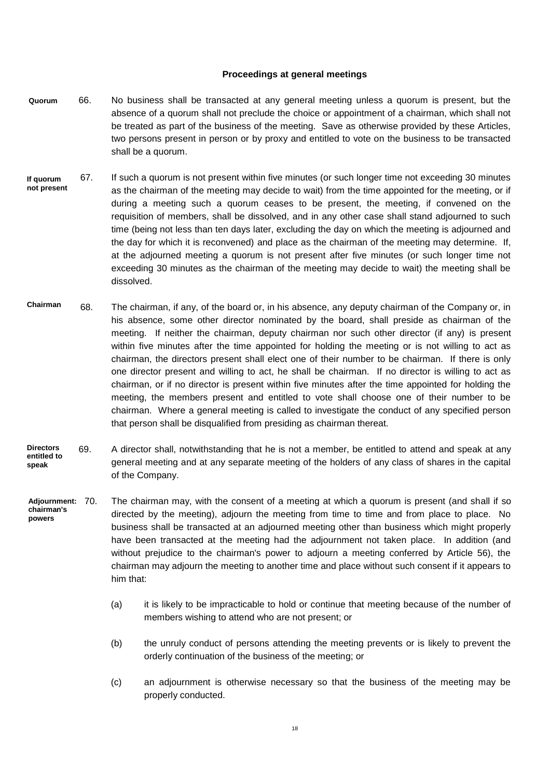## **Proceedings at general meetings**

- 66. No business shall be transacted at any general meeting unless a quorum is present, but the absence of a quorum shall not preclude the choice or appointment of a chairman, which shall not be treated as part of the business of the meeting. Save as otherwise provided by these Articles, two persons present in person or by proxy and entitled to vote on the business to be transacted shall be a quorum. **Quorum**
- 67. If such a quorum is not present within five minutes (or such longer time not exceeding 30 minutes as the chairman of the meeting may decide to wait) from the time appointed for the meeting, or if during a meeting such a quorum ceases to be present, the meeting, if convened on the requisition of members, shall be dissolved, and in any other case shall stand adjourned to such time (being not less than ten days later, excluding the day on which the meeting is adjourned and the day for which it is reconvened) and place as the chairman of the meeting may determine. If, at the adjourned meeting a quorum is not present after five minutes (or such longer time not exceeding 30 minutes as the chairman of the meeting may decide to wait) the meeting shall be dissolved. **If quorum not present**
- 68. The chairman, if any, of the board or, in his absence, any deputy chairman of the Company or, in his absence, some other director nominated by the board, shall preside as chairman of the meeting. If neither the chairman, deputy chairman nor such other director (if any) is present within five minutes after the time appointed for holding the meeting or is not willing to act as chairman, the directors present shall elect one of their number to be chairman. If there is only one director present and willing to act, he shall be chairman. If no director is willing to act as chairman, or if no director is present within five minutes after the time appointed for holding the meeting, the members present and entitled to vote shall choose one of their number to be chairman. Where a general meeting is called to investigate the conduct of any specified person that person shall be disqualified from presiding as chairman thereat. **Chairman**
- 69. A director shall, notwithstanding that he is not a member, be entitled to attend and speak at any general meeting and at any separate meeting of the holders of any class of shares in the capital of the Company. **Directors entitled to speak**
- The chairman may, with the consent of a meeting at which a quorum is present (and shall if so directed by the meeting), adjourn the meeting from time to time and from place to place. No business shall be transacted at an adjourned meeting other than business which might properly have been transacted at the meeting had the adjournment not taken place. In addition (and without prejudice to the chairman's power to adjourn a meeting conferred by Article 56), the chairman may adjourn the meeting to another time and place without such consent if it appears to him that: **Adjournment: chairman's powers**
	- (a) it is likely to be impracticable to hold or continue that meeting because of the number of members wishing to attend who are not present; or
	- (b) the unruly conduct of persons attending the meeting prevents or is likely to prevent the orderly continuation of the business of the meeting; or
	- (c) an adjournment is otherwise necessary so that the business of the meeting may be properly conducted.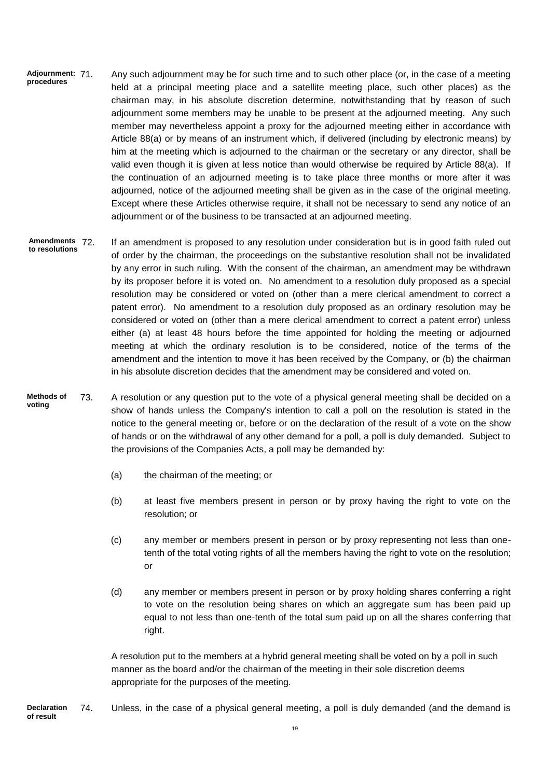- Any such adjournment may be for such time and to such other place (or, in the case of a meeting held at a principal meeting place and a satellite meeting place, such other places) as the chairman may, in his absolute discretion determine, notwithstanding that by reason of such adjournment some members may be unable to be present at the adjourned meeting. Any such member may nevertheless appoint a proxy for the adjourned meeting either in accordance with Article 88(a) or by means of an instrument which, if delivered (including by electronic means) by him at the meeting which is adjourned to the chairman or the secretary or any director, shall be valid even though it is given at less notice than would otherwise be required by Article 88(a). If the continuation of an adjourned meeting is to take place three months or more after it was adjourned, notice of the adjourned meeting shall be given as in the case of the original meeting. Except where these Articles otherwise require, it shall not be necessary to send any notice of an adjournment or of the business to be transacted at an adjourned meeting. **Adjournment: procedures**
- If an amendment is proposed to any resolution under consideration but is in good faith ruled out of order by the chairman, the proceedings on the substantive resolution shall not be invalidated by any error in such ruling. With the consent of the chairman, an amendment may be withdrawn by its proposer before it is voted on. No amendment to a resolution duly proposed as a special resolution may be considered or voted on (other than a mere clerical amendment to correct a patent error). No amendment to a resolution duly proposed as an ordinary resolution may be considered or voted on (other than a mere clerical amendment to correct a patent error) unless either (a) at least 48 hours before the time appointed for holding the meeting or adjourned meeting at which the ordinary resolution is to be considered, notice of the terms of the amendment and the intention to move it has been received by the Company, or (b) the chairman in his absolute discretion decides that the amendment may be considered and voted on. **Amendments to resolutions**
- 73. A resolution or any question put to the vote of a physical general meeting shall be decided on a show of hands unless the Company's intention to call a poll on the resolution is stated in the notice to the general meeting or, before or on the declaration of the result of a vote on the show of hands or on the withdrawal of any other demand for a poll, a poll is duly demanded. Subject to the provisions of the Companies Acts, a poll may be demanded by: **Methods of voting**
	- (a) the chairman of the meeting; or
	- (b) at least five members present in person or by proxy having the right to vote on the resolution; or
	- (c) any member or members present in person or by proxy representing not less than onetenth of the total voting rights of all the members having the right to vote on the resolution; or
	- (d) any member or members present in person or by proxy holding shares conferring a right to vote on the resolution being shares on which an aggregate sum has been paid up equal to not less than one-tenth of the total sum paid up on all the shares conferring that right.

A resolution put to the members at a hybrid general meeting shall be voted on by a poll in such manner as the board and/or the chairman of the meeting in their sole discretion deems appropriate for the purposes of the meeting.

74. Unless, in the case of a physical general meeting, a poll is duly demanded (and the demand is **Declaration of result**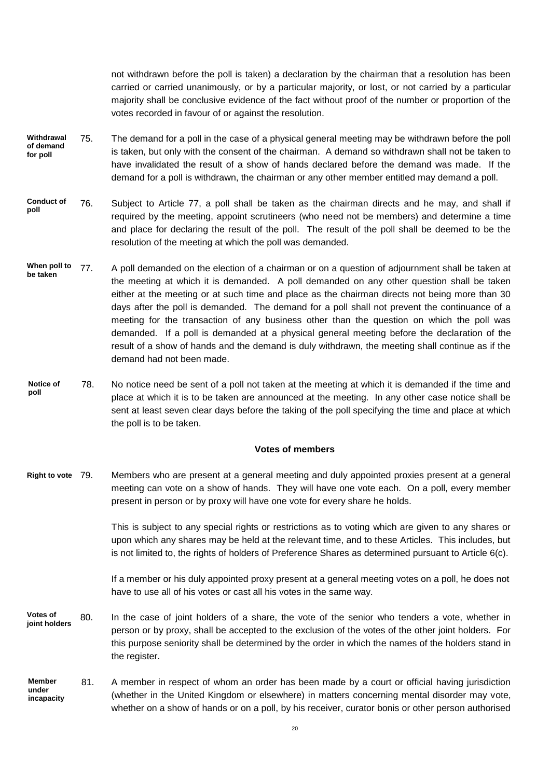not withdrawn before the poll is taken) a declaration by the chairman that a resolution has been carried or carried unanimously, or by a particular majority, or lost, or not carried by a particular majority shall be conclusive evidence of the fact without proof of the number or proportion of the votes recorded in favour of or against the resolution.

- 75. The demand for a poll in the case of a physical general meeting may be withdrawn before the poll is taken, but only with the consent of the chairman. A demand so withdrawn shall not be taken to have invalidated the result of a show of hands declared before the demand was made. If the demand for a poll is withdrawn, the chairman or any other member entitled may demand a poll. **Withdrawal of demand for poll**
- 76. Subject to Article 77, a poll shall be taken as the chairman directs and he may, and shall if required by the meeting, appoint scrutineers (who need not be members) and determine a time and place for declaring the result of the poll. The result of the poll shall be deemed to be the resolution of the meeting at which the poll was demanded. **Conduct of poll**
- 77. A poll demanded on the election of a chairman or on a question of adjournment shall be taken at the meeting at which it is demanded. A poll demanded on any other question shall be taken either at the meeting or at such time and place as the chairman directs not being more than 30 days after the poll is demanded. The demand for a poll shall not prevent the continuance of a meeting for the transaction of any business other than the question on which the poll was demanded. If a poll is demanded at a physical general meeting before the declaration of the result of a show of hands and the demand is duly withdrawn, the meeting shall continue as if the demand had not been made. **When poll to be taken**
- 78. No notice need be sent of a poll not taken at the meeting at which it is demanded if the time and place at which it is to be taken are announced at the meeting. In any other case notice shall be sent at least seven clear days before the taking of the poll specifying the time and place at which the poll is to be taken. **Notice of poll**

### **Votes of members**

Members who are present at a general meeting and duly appointed proxies present at a general meeting can vote on a show of hands. They will have one vote each. On a poll, every member present in person or by proxy will have one vote for every share he holds. **Right to vote**

> This is subject to any special rights or restrictions as to voting which are given to any shares or upon which any shares may be held at the relevant time, and to these Articles. This includes, but is not limited to, the rights of holders of Preference Shares as determined pursuant to Article 6(c).

> If a member or his duly appointed proxy present at a general meeting votes on a poll, he does not have to use all of his votes or cast all his votes in the same way.

- 80. In the case of joint holders of a share, the vote of the senior who tenders a vote, whether in person or by proxy, shall be accepted to the exclusion of the votes of the other joint holders. For this purpose seniority shall be determined by the order in which the names of the holders stand in the register. **Votes of joint holders**
- 81. A member in respect of whom an order has been made by a court or official having jurisdiction (whether in the United Kingdom or elsewhere) in matters concerning mental disorder may vote, whether on a show of hands or on a poll, by his receiver, curator bonis or other person authorised **Member under incapacity**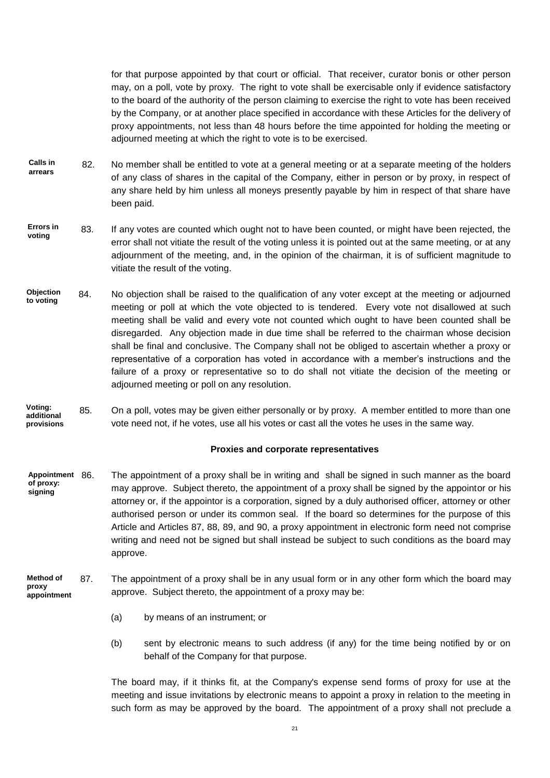for that purpose appointed by that court or official. That receiver, curator bonis or other person may, on a poll, vote by proxy. The right to vote shall be exercisable only if evidence satisfactory to the board of the authority of the person claiming to exercise the right to vote has been received by the Company, or at another place specified in accordance with these Articles for the delivery of proxy appointments, not less than 48 hours before the time appointed for holding the meeting or adjourned meeting at which the right to vote is to be exercised.

- 82. No member shall be entitled to vote at a general meeting or at a separate meeting of the holders of any class of shares in the capital of the Company, either in person or by proxy, in respect of any share held by him unless all moneys presently payable by him in respect of that share have been paid. **Calls in arrears**
- 83. If any votes are counted which ought not to have been counted, or might have been rejected, the error shall not vitiate the result of the voting unless it is pointed out at the same meeting, or at any adjournment of the meeting, and, in the opinion of the chairman, it is of sufficient magnitude to vitiate the result of the voting. **Errors in voting**
- 84. No objection shall be raised to the qualification of any voter except at the meeting or adjourned meeting or poll at which the vote objected to is tendered. Every vote not disallowed at such meeting shall be valid and every vote not counted which ought to have been counted shall be disregarded. Any objection made in due time shall be referred to the chairman whose decision shall be final and conclusive. The Company shall not be obliged to ascertain whether a proxy or representative of a corporation has voted in accordance with a member's instructions and the failure of a proxy or representative so to do shall not vitiate the decision of the meeting or adjourned meeting or poll on any resolution. **Objection to voting**
- 85. On a poll, votes may be given either personally or by proxy. A member entitled to more than one vote need not, if he votes, use all his votes or cast all the votes he uses in the same way. **Voting: additional provisions**

#### **Proxies and corporate representatives**

- The appointment of a proxy shall be in writing and shall be signed in such manner as the board may approve. Subject thereto, the appointment of a proxy shall be signed by the appointor or his attorney or, if the appointor is a corporation, signed by a duly authorised officer, attorney or other authorised person or under its common seal. If the board so determines for the purpose of this Article and Articles 87, 88, 89, and 90, a proxy appointment in electronic form need not comprise writing and need not be signed but shall instead be subject to such conditions as the board may approve. **Appointment of proxy: signing**
- 87. The appointment of a proxy shall be in any usual form or in any other form which the board may approve. Subject thereto, the appointment of a proxy may be: **Method of proxy appointment**
	- (a) by means of an instrument; or
	- (b) sent by electronic means to such address (if any) for the time being notified by or on behalf of the Company for that purpose.

The board may, if it thinks fit, at the Company's expense send forms of proxy for use at the meeting and issue invitations by electronic means to appoint a proxy in relation to the meeting in such form as may be approved by the board. The appointment of a proxy shall not preclude a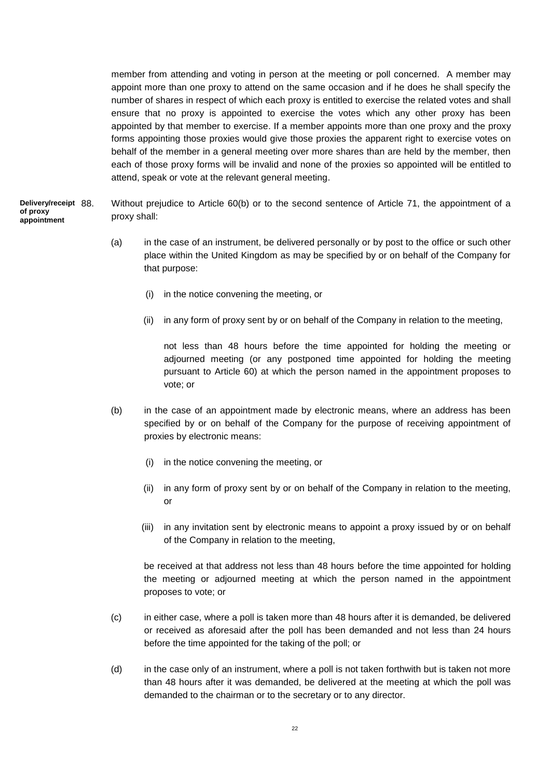member from attending and voting in person at the meeting or poll concerned. A member may appoint more than one proxy to attend on the same occasion and if he does he shall specify the number of shares in respect of which each proxy is entitled to exercise the related votes and shall ensure that no proxy is appointed to exercise the votes which any other proxy has been appointed by that member to exercise. If a member appoints more than one proxy and the proxy forms appointing those proxies would give those proxies the apparent right to exercise votes on behalf of the member in a general meeting over more shares than are held by the member, then each of those proxy forms will be invalid and none of the proxies so appointed will be entitled to attend, speak or vote at the relevant general meeting.

- Without prejudice to Article 60(b) or to the second sentence of Article 71, the appointment of a proxy shall: **Delivery/receipt of proxy appointment**
	- (a) in the case of an instrument, be delivered personally or by post to the office or such other place within the United Kingdom as may be specified by or on behalf of the Company for that purpose:
		- (i) in the notice convening the meeting, or
		- (ii) in any form of proxy sent by or on behalf of the Company in relation to the meeting,

not less than 48 hours before the time appointed for holding the meeting or adjourned meeting (or any postponed time appointed for holding the meeting pursuant to Article 60) at which the person named in the appointment proposes to vote; or

- (b) in the case of an appointment made by electronic means, where an address has been specified by or on behalf of the Company for the purpose of receiving appointment of proxies by electronic means:
	- (i) in the notice convening the meeting, or
	- (ii) in any form of proxy sent by or on behalf of the Company in relation to the meeting, or
	- (iii) in any invitation sent by electronic means to appoint a proxy issued by or on behalf of the Company in relation to the meeting,

be received at that address not less than 48 hours before the time appointed for holding the meeting or adjourned meeting at which the person named in the appointment proposes to vote; or

- (c) in either case, where a poll is taken more than 48 hours after it is demanded, be delivered or received as aforesaid after the poll has been demanded and not less than 24 hours before the time appointed for the taking of the poll; or
- (d) in the case only of an instrument, where a poll is not taken forthwith but is taken not more than 48 hours after it was demanded, be delivered at the meeting at which the poll was demanded to the chairman or to the secretary or to any director.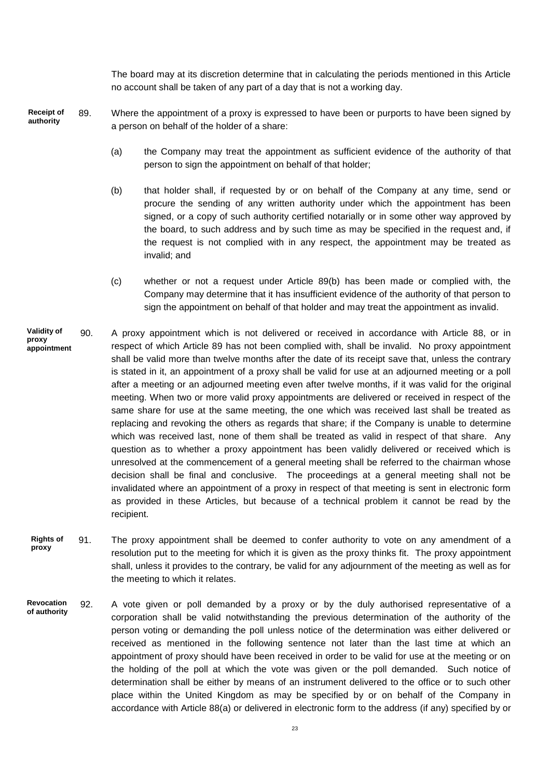The board may at its discretion determine that in calculating the periods mentioned in this Article no account shall be taken of any part of a day that is not a working day.

- 89. Where the appointment of a proxy is expressed to have been or purports to have been signed by a person on behalf of the holder of a share: **Receipt of authority**
	- (a) the Company may treat the appointment as sufficient evidence of the authority of that person to sign the appointment on behalf of that holder;
	- (b) that holder shall, if requested by or on behalf of the Company at any time, send or procure the sending of any written authority under which the appointment has been signed, or a copy of such authority certified notarially or in some other way approved by the board, to such address and by such time as may be specified in the request and, if the request is not complied with in any respect, the appointment may be treated as invalid; and
	- (c) whether or not a request under Article 89(b) has been made or complied with, the Company may determine that it has insufficient evidence of the authority of that person to sign the appointment on behalf of that holder and may treat the appointment as invalid.
- 90. A proxy appointment which is not delivered or received in accordance with Article 88, or in respect of which Article 89 has not been complied with, shall be invalid. No proxy appointment shall be valid more than twelve months after the date of its receipt save that, unless the contrary is stated in it, an appointment of a proxy shall be valid for use at an adjourned meeting or a poll after a meeting or an adjourned meeting even after twelve months, if it was valid for the original meeting. When two or more valid proxy appointments are delivered or received in respect of the same share for use at the same meeting, the one which was received last shall be treated as replacing and revoking the others as regards that share; if the Company is unable to determine which was received last, none of them shall be treated as valid in respect of that share. Any question as to whether a proxy appointment has been validly delivered or received which is unresolved at the commencement of a general meeting shall be referred to the chairman whose decision shall be final and conclusive. The proceedings at a general meeting shall not be invalidated where an appointment of a proxy in respect of that meeting is sent in electronic form as provided in these Articles, but because of a technical problem it cannot be read by the recipient. **Validity of proxy appointment**
- 91. The proxy appointment shall be deemed to confer authority to vote on any amendment of a resolution put to the meeting for which it is given as the proxy thinks fit. The proxy appointment shall, unless it provides to the contrary, be valid for any adjournment of the meeting as well as for the meeting to which it relates. **Rights of proxy**
- 92. A vote given or poll demanded by a proxy or by the duly authorised representative of a corporation shall be valid notwithstanding the previous determination of the authority of the person voting or demanding the poll unless notice of the determination was either delivered or received as mentioned in the following sentence not later than the last time at which an appointment of proxy should have been received in order to be valid for use at the meeting or on the holding of the poll at which the vote was given or the poll demanded. Such notice of determination shall be either by means of an instrument delivered to the office or to such other place within the United Kingdom as may be specified by or on behalf of the Company in accordance with Article 88(a) or delivered in electronic form to the address (if any) specified by or **Revocation of authority**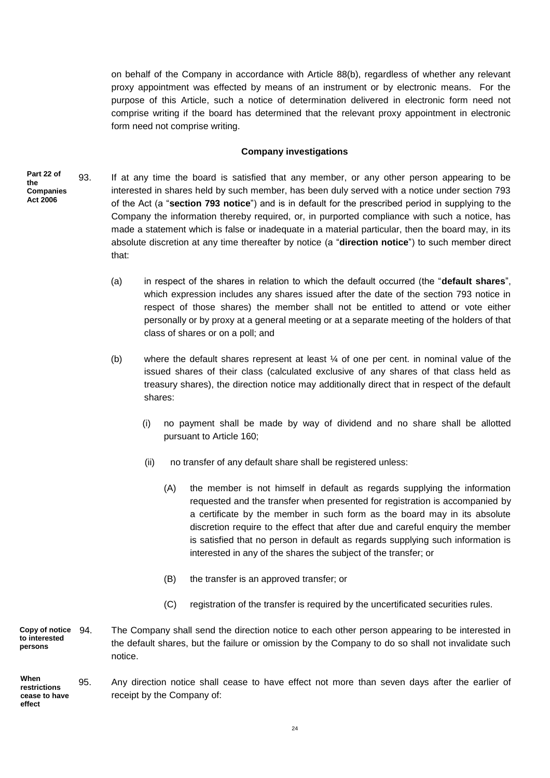on behalf of the Company in accordance with Article 88(b), regardless of whether any relevant proxy appointment was effected by means of an instrument or by electronic means. For the purpose of this Article, such a notice of determination delivered in electronic form need not comprise writing if the board has determined that the relevant proxy appointment in electronic form need not comprise writing.

## **Company investigations**

**Part 22 of the Companies Act 2006**

93. If at any time the board is satisfied that any member, or any other person appearing to be interested in shares held by such member, has been duly served with a notice under section 793 of the Act (a "**section 793 notice**") and is in default for the prescribed period in supplying to the Company the information thereby required, or, in purported compliance with such a notice, has made a statement which is false or inadequate in a material particular, then the board may, in its absolute discretion at any time thereafter by notice (a "**direction notice**") to such member direct that:

- (a) in respect of the shares in relation to which the default occurred (the "**default shares**", which expression includes any shares issued after the date of the section 793 notice in respect of those shares) the member shall not be entitled to attend or vote either personally or by proxy at a general meeting or at a separate meeting of the holders of that class of shares or on a poll; and
- (b) where the default shares represent at least ¼ of one per cent. in nominal value of the issued shares of their class (calculated exclusive of any shares of that class held as treasury shares), the direction notice may additionally direct that in respect of the default shares:
	- (i) no payment shall be made by way of dividend and no share shall be allotted pursuant to Article 160;
	- (ii) no transfer of any default share shall be registered unless:
		- (A) the member is not himself in default as regards supplying the information requested and the transfer when presented for registration is accompanied by a certificate by the member in such form as the board may in its absolute discretion require to the effect that after due and careful enquiry the member is satisfied that no person in default as regards supplying such information is interested in any of the shares the subject of the transfer; or
		- (B) the transfer is an approved transfer; or
		- (C) registration of the transfer is required by the uncertificated securities rules.

94. The Company shall send the direction notice to each other person appearing to be interested in the default shares, but the failure or omission by the Company to do so shall not invalidate such notice. **Copy of notice to interested persons**

95. Any direction notice shall cease to have effect not more than seven days after the earlier of receipt by the Company of: **When restrictions cease to have effect**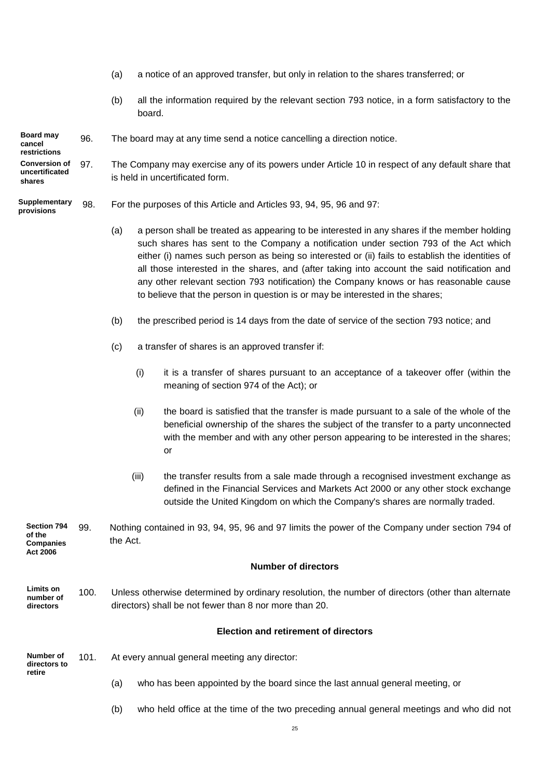- (a) a notice of an approved transfer, but only in relation to the shares transferred; or
- (b) all the information required by the relevant section 793 notice, in a form satisfactory to the board.

#### 96. The board may at any time send a notice cancelling a direction notice. **Board may cancel**

97. The Company may exercise any of its powers under Article 10 in respect of any default share that is held in uncertificated form. **Conversion of uncertificated shares**

#### 98. For the purposes of this Article and Articles 93, 94, 95, 96 and 97: **Supplementary provisions**

**restrictions**

**Act 2006**

- (a) a person shall be treated as appearing to be interested in any shares if the member holding such shares has sent to the Company a notification under section 793 of the Act which either (i) names such person as being so interested or (ii) fails to establish the identities of all those interested in the shares, and (after taking into account the said notification and any other relevant section 793 notification) the Company knows or has reasonable cause to believe that the person in question is or may be interested in the shares;
- (b) the prescribed period is 14 days from the date of service of the section 793 notice; and
- (c) a transfer of shares is an approved transfer if:
	- (i) it is a transfer of shares pursuant to an acceptance of a takeover offer (within the meaning of section 974 of the Act); or
	- (ii) the board is satisfied that the transfer is made pursuant to a sale of the whole of the beneficial ownership of the shares the subject of the transfer to a party unconnected with the member and with any other person appearing to be interested in the shares; or
	- (iii) the transfer results from a sale made through a recognised investment exchange as defined in the Financial Services and Markets Act 2000 or any other stock exchange outside the United Kingdom on which the Company's shares are normally traded.

99. Nothing contained in 93, 94, 95, 96 and 97 limits the power of the Company under section 794 of the Act. **Section 794 of the Companies** 

#### **Number of directors**

100. Unless otherwise determined by ordinary resolution, the number of directors (other than alternate directors) shall be not fewer than 8 nor more than 20. **Limits on number of directors**

## **Election and retirement of directors**

| Number of<br>directors to<br>retire | 101. | At every annual general meeting any director:                                        |  |
|-------------------------------------|------|--------------------------------------------------------------------------------------|--|
|                                     |      | who has been appointed by the board since the last annual general meeting, or<br>(a) |  |

(b) who held office at the time of the two preceding annual general meetings and who did not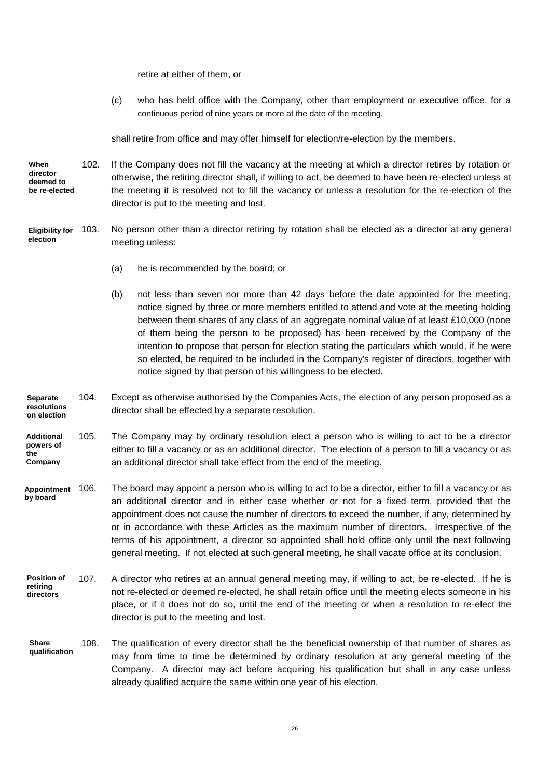retire at either of them, or

(c) who has held office with the Company, other than employment or executive office, for a continuous period of nine years or more at the date of the meeting,

shall retire from office and may offer himself for election/re-election by the members.

102. If the Company does not fill the vacancy at the meeting at which a director retires by rotation or otherwise, the retiring director shall, if willing to act, be deemed to have been re-elected unless at the meeting it is resolved not to fill the vacancy or unless a resolution for the re-election of the director is put to the meeting and lost. **When director deemed to be re-elected**

- 103. No person other than a director retiring by rotation shall be elected as a director at any general meeting unless: **Eligibility for election**
	- (a) he is recommended by the board; or
	- (b) not less than seven nor more than 42 days before the date appointed for the meeting, notice signed by three or more members entitled to attend and vote at the meeting holding between them shares of any class of an aggregate nominal value of at least £10,000 (none of them being the person to be proposed) has been received by the Company of the intention to propose that person for election stating the particulars which would, if he were so elected, be required to be included in the Company's register of directors, together with notice signed by that person of his willingness to be elected.
- 104. Except as otherwise authorised by the Companies Acts, the election of any person proposed as a director shall be effected by a separate resolution. **Separate resolutions on election**
- 105. The Company may by ordinary resolution elect a person who is willing to act to be a director either to fill a vacancy or as an additional director. The election of a person to fill a vacancy or as an additional director shall take effect from the end of the meeting. **Additional powers of the Company**
- 106. The board may appoint a person who is willing to act to be a director, either to fill a vacancy or as an additional director and in either case whether or not for a fixed term, provided that the appointment does not cause the number of directors to exceed the number, if any, determined by or in accordance with these Articles as the maximum number of directors. Irrespective of the terms of his appointment, a director so appointed shall hold office only until the next following general meeting. If not elected at such general meeting, he shall vacate office at its conclusion. **Appointment by board**
- 107. A director who retires at an annual general meeting may, if willing to act, be re-elected. If he is not re-elected or deemed re-elected, he shall retain office until the meeting elects someone in his place, or if it does not do so, until the end of the meeting or when a resolution to re-elect the director is put to the meeting and lost. **Position of retiring directors**
- 108. The qualification of every director shall be the beneficial ownership of that number of shares as may from time to time be determined by ordinary resolution at any general meeting of the Company. A director may act before acquiring his qualification but shall in any case unless already qualified acquire the same within one year of his election. **Share qualification**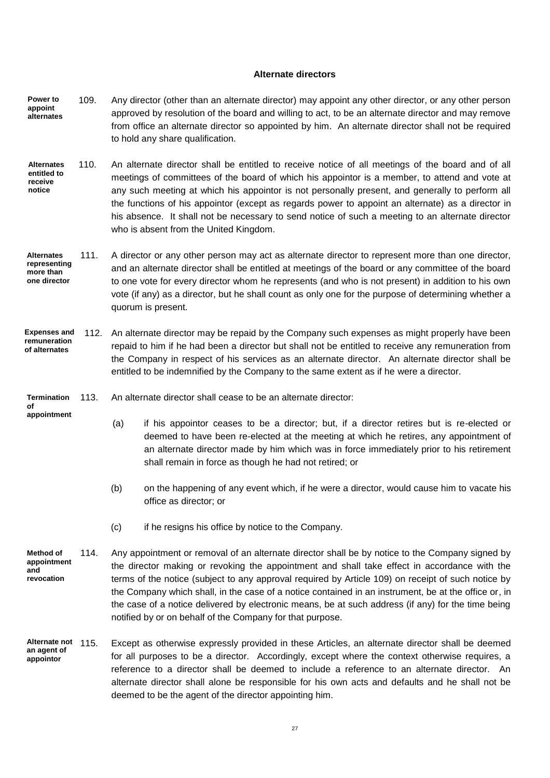### **Alternate directors**

- 109. Any director (other than an alternate director) may appoint any other director, or any other person approved by resolution of the board and willing to act, to be an alternate director and may remove from office an alternate director so appointed by him. An alternate director shall not be required to hold any share qualification. **Power to appoint alternates**
- 110. An alternate director shall be entitled to receive notice of all meetings of the board and of all meetings of committees of the board of which his appointor is a member, to attend and vote at any such meeting at which his appointor is not personally present, and generally to perform all the functions of his appointor (except as regards power to appoint an alternate) as a director in his absence. It shall not be necessary to send notice of such a meeting to an alternate director who is absent from the United Kingdom. **Alternates entitled to receive notice**
- 111. A director or any other person may act as alternate director to represent more than one director, and an alternate director shall be entitled at meetings of the board or any committee of the board to one vote for every director whom he represents (and who is not present) in addition to his own vote (if any) as a director, but he shall count as only one for the purpose of determining whether a quorum is present. **Alternates representing more than one director**
- 112. An alternate director may be repaid by the Company such expenses as might properly have been repaid to him if he had been a director but shall not be entitled to receive any remuneration from the Company in respect of his services as an alternate director. An alternate director shall be entitled to be indemnified by the Company to the same extent as if he were a director. **Expenses and remuneration of alternates**
- **Termination of**
- **appointment**
- 113. An alternate director shall cease to be an alternate director:
	- (a) if his appointor ceases to be a director; but, if a director retires but is re-elected or deemed to have been re-elected at the meeting at which he retires, any appointment of an alternate director made by him which was in force immediately prior to his retirement shall remain in force as though he had not retired; or
	- (b) on the happening of any event which, if he were a director, would cause him to vacate his office as director; or
	- (c) if he resigns his office by notice to the Company.
- 114. Any appointment or removal of an alternate director shall be by notice to the Company signed by the director making or revoking the appointment and shall take effect in accordance with the terms of the notice (subject to any approval required by Article 109) on receipt of such notice by the Company which shall, in the case of a notice contained in an instrument, be at the office or, in the case of a notice delivered by electronic means, be at such address (if any) for the time being notified by or on behalf of the Company for that purpose. **Method of appointment and revocation**
- Except as otherwise expressly provided in these Articles, an alternate director shall be deemed for all purposes to be a director. Accordingly, except where the context otherwise requires, a reference to a director shall be deemed to include a reference to an alternate director. An alternate director shall alone be responsible for his own acts and defaults and he shall not be deemed to be the agent of the director appointing him. **Alternate not an agent of appointor**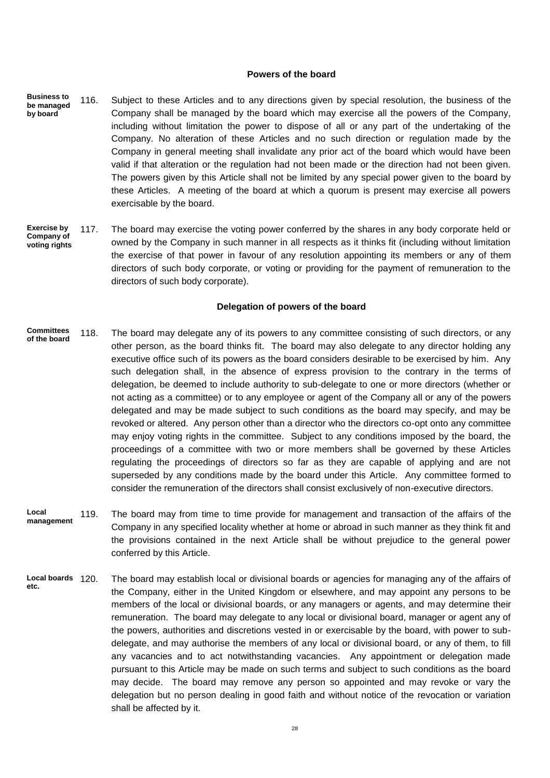#### **Powers of the board**

- 116. Subject to these Articles and to any directions given by special resolution, the business of the Company shall be managed by the board which may exercise all the powers of the Company, including without limitation the power to dispose of all or any part of the undertaking of the Company. No alteration of these Articles and no such direction or regulation made by the Company in general meeting shall invalidate any prior act of the board which would have been valid if that alteration or the regulation had not been made or the direction had not been given. The powers given by this Article shall not be limited by any special power given to the board by these Articles. A meeting of the board at which a quorum is present may exercise all powers exercisable by the board. **Business to be managed by board**
- 117. The board may exercise the voting power conferred by the shares in any body corporate held or owned by the Company in such manner in all respects as it thinks fit (including without limitation the exercise of that power in favour of any resolution appointing its members or any of them directors of such body corporate, or voting or providing for the payment of remuneration to the directors of such body corporate). **Exercise by Company of voting rights**

#### **Delegation of powers of the board**

- 118. The board may delegate any of its powers to any committee consisting of such directors, or any other person, as the board thinks fit. The board may also delegate to any director holding any executive office such of its powers as the board considers desirable to be exercised by him. Any such delegation shall, in the absence of express provision to the contrary in the terms of delegation, be deemed to include authority to sub-delegate to one or more directors (whether or not acting as a committee) or to any employee or agent of the Company all or any of the powers delegated and may be made subject to such conditions as the board may specify, and may be revoked or altered. Any person other than a director who the directors co-opt onto any committee may enjoy voting rights in the committee. Subject to any conditions imposed by the board, the proceedings of a committee with two or more members shall be governed by these Articles regulating the proceedings of directors so far as they are capable of applying and are not superseded by any conditions made by the board under this Article. Any committee formed to consider the remuneration of the directors shall consist exclusively of non-executive directors. **Committees of the board**
- 119. The board may from time to time provide for management and transaction of the affairs of the Company in any specified locality whether at home or abroad in such manner as they think fit and the provisions contained in the next Article shall be without prejudice to the general power conferred by this Article. **Local management**
- The board may establish local or divisional boards or agencies for managing any of the affairs of the Company, either in the United Kingdom or elsewhere, and may appoint any persons to be members of the local or divisional boards, or any managers or agents, and may determine their remuneration. The board may delegate to any local or divisional board, manager or agent any of the powers, authorities and discretions vested in or exercisable by the board, with power to subdelegate, and may authorise the members of any local or divisional board, or any of them, to fill any vacancies and to act notwithstanding vacancies. Any appointment or delegation made pursuant to this Article may be made on such terms and subject to such conditions as the board may decide. The board may remove any person so appointed and may revoke or vary the delegation but no person dealing in good faith and without notice of the revocation or variation shall be affected by it. **Local boards etc.**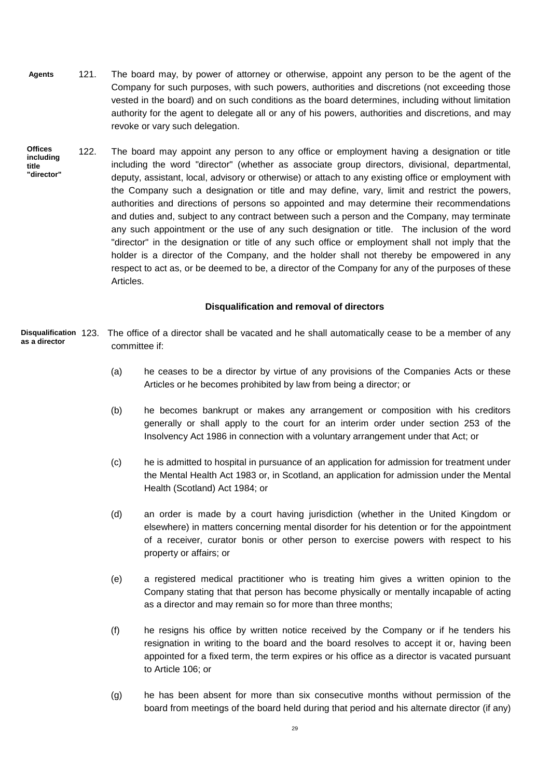- 121. The board may, by power of attorney or otherwise, appoint any person to be the agent of the Company for such purposes, with such powers, authorities and discretions (not exceeding those vested in the board) and on such conditions as the board determines, including without limitation authority for the agent to delegate all or any of his powers, authorities and discretions, and may revoke or vary such delegation. **Agents**
- 122. The board may appoint any person to any office or employment having a designation or title including the word "director" (whether as associate group directors, divisional, departmental, deputy, assistant, local, advisory or otherwise) or attach to any existing office or employment with the Company such a designation or title and may define, vary, limit and restrict the powers, authorities and directions of persons so appointed and may determine their recommendations and duties and, subject to any contract between such a person and the Company, may terminate any such appointment or the use of any such designation or title. The inclusion of the word "director" in the designation or title of any such office or employment shall not imply that the holder is a director of the Company, and the holder shall not thereby be empowered in any respect to act as, or be deemed to be, a director of the Company for any of the purposes of these Articles. **Offices including title "director"**

## **Disqualification and removal of directors**

- **Disqualification** 123. The office of a director shall be vacated and he shall automatically cease to be a member of any committee if: **as a director**
	- (a) he ceases to be a director by virtue of any provisions of the Companies Acts or these Articles or he becomes prohibited by law from being a director; or
	- (b) he becomes bankrupt or makes any arrangement or composition with his creditors generally or shall apply to the court for an interim order under section 253 of the Insolvency Act 1986 in connection with a voluntary arrangement under that Act; or
	- (c) he is admitted to hospital in pursuance of an application for admission for treatment under the Mental Health Act 1983 or, in Scotland, an application for admission under the Mental Health (Scotland) Act 1984; or
	- (d) an order is made by a court having jurisdiction (whether in the United Kingdom or elsewhere) in matters concerning mental disorder for his detention or for the appointment of a receiver, curator bonis or other person to exercise powers with respect to his property or affairs; or
	- (e) a registered medical practitioner who is treating him gives a written opinion to the Company stating that that person has become physically or mentally incapable of acting as a director and may remain so for more than three months;
	- (f) he resigns his office by written notice received by the Company or if he tenders his resignation in writing to the board and the board resolves to accept it or, having been appointed for a fixed term, the term expires or his office as a director is vacated pursuant to Article 106; or
	- (g) he has been absent for more than six consecutive months without permission of the board from meetings of the board held during that period and his alternate director (if any)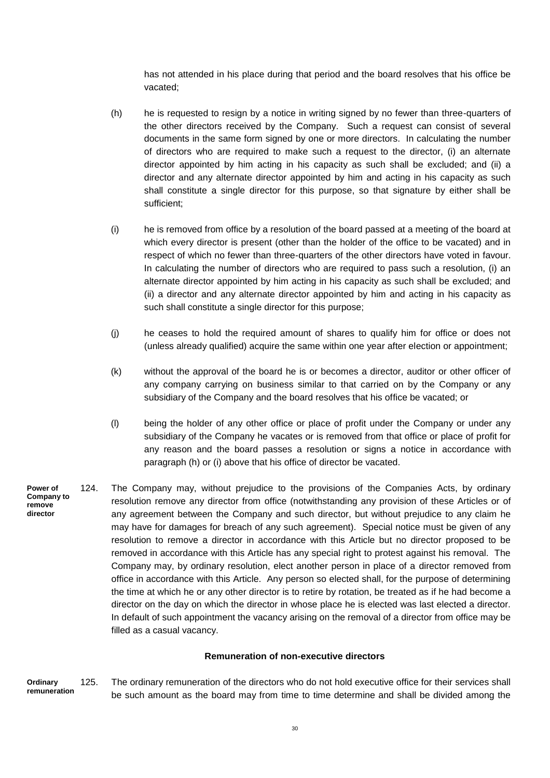has not attended in his place during that period and the board resolves that his office be vacated;

- (h) he is requested to resign by a notice in writing signed by no fewer than three-quarters of the other directors received by the Company. Such a request can consist of several documents in the same form signed by one or more directors. In calculating the number of directors who are required to make such a request to the director, (i) an alternate director appointed by him acting in his capacity as such shall be excluded; and (ii) a director and any alternate director appointed by him and acting in his capacity as such shall constitute a single director for this purpose, so that signature by either shall be sufficient;
- (i) he is removed from office by a resolution of the board passed at a meeting of the board at which every director is present (other than the holder of the office to be vacated) and in respect of which no fewer than three-quarters of the other directors have voted in favour. In calculating the number of directors who are required to pass such a resolution, (i) an alternate director appointed by him acting in his capacity as such shall be excluded; and (ii) a director and any alternate director appointed by him and acting in his capacity as such shall constitute a single director for this purpose;
- (j) he ceases to hold the required amount of shares to qualify him for office or does not (unless already qualified) acquire the same within one year after election or appointment;
- (k) without the approval of the board he is or becomes a director, auditor or other officer of any company carrying on business similar to that carried on by the Company or any subsidiary of the Company and the board resolves that his office be vacated; or
- (l) being the holder of any other office or place of profit under the Company or under any subsidiary of the Company he vacates or is removed from that office or place of profit for any reason and the board passes a resolution or signs a notice in accordance with paragraph (h) or (i) above that his office of director be vacated.
- 124. The Company may, without prejudice to the provisions of the Companies Acts, by ordinary resolution remove any director from office (notwithstanding any provision of these Articles or of any agreement between the Company and such director, but without prejudice to any claim he may have for damages for breach of any such agreement). Special notice must be given of any resolution to remove a director in accordance with this Article but no director proposed to be removed in accordance with this Article has any special right to protest against his removal. The Company may, by ordinary resolution, elect another person in place of a director removed from office in accordance with this Article. Any person so elected shall, for the purpose of determining the time at which he or any other director is to retire by rotation, be treated as if he had become a director on the day on which the director in whose place he is elected was last elected a director. In default of such appointment the vacancy arising on the removal of a director from office may be filled as a casual vacancy. **Power of Company to remove director**

## **Remuneration of non-executive directors**

125. The ordinary remuneration of the directors who do not hold executive office for their services shall be such amount as the board may from time to time determine and shall be divided among the **Ordinary remuneration**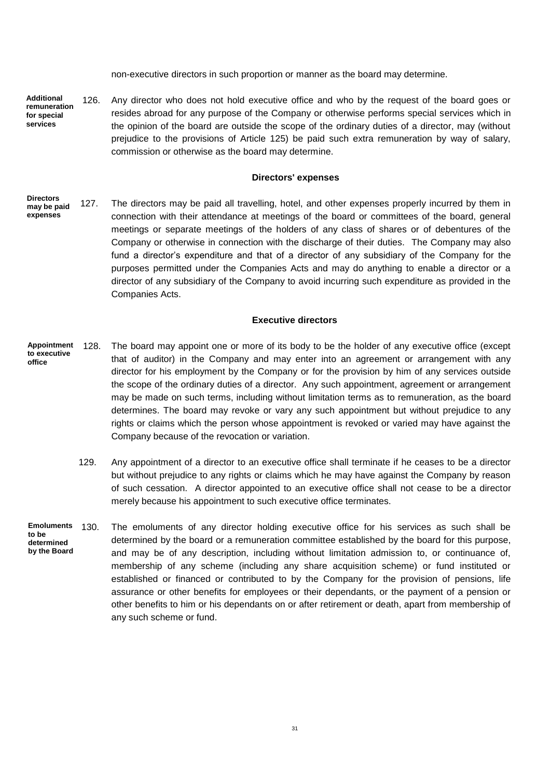non-executive directors in such proportion or manner as the board may determine.

126. Any director who does not hold executive office and who by the request of the board goes or resides abroad for any purpose of the Company or otherwise performs special services which in the opinion of the board are outside the scope of the ordinary duties of a director, may (without prejudice to the provisions of Article 125) be paid such extra remuneration by way of salary, commission or otherwise as the board may determine. **Additional remuneration for special services**

#### **Directors' expenses**

127. The directors may be paid all travelling, hotel, and other expenses properly incurred by them in connection with their attendance at meetings of the board or committees of the board, general meetings or separate meetings of the holders of any class of shares or of debentures of the Company or otherwise in connection with the discharge of their duties. The Company may also fund a director's expenditure and that of a director of any subsidiary of the Company for the purposes permitted under the Companies Acts and may do anything to enable a director or a director of any subsidiary of the Company to avoid incurring such expenditure as provided in the Companies Acts. **Directors may be paid expenses**

### **Executive directors**

- 128. The board may appoint one or more of its body to be the holder of any executive office (except that of auditor) in the Company and may enter into an agreement or arrangement with any director for his employment by the Company or for the provision by him of any services outside the scope of the ordinary duties of a director. Any such appointment, agreement or arrangement may be made on such terms, including without limitation terms as to remuneration, as the board determines. The board may revoke or vary any such appointment but without prejudice to any rights or claims which the person whose appointment is revoked or varied may have against the Company because of the revocation or variation. **Appointment to executive office**
	- 129. Any appointment of a director to an executive office shall terminate if he ceases to be a director but without prejudice to any rights or claims which he may have against the Company by reason of such cessation. A director appointed to an executive office shall not cease to be a director merely because his appointment to such executive office terminates.
- 130. The emoluments of any director holding executive office for his services as such shall be determined by the board or a remuneration committee established by the board for this purpose, and may be of any description, including without limitation admission to, or continuance of, membership of any scheme (including any share acquisition scheme) or fund instituted or established or financed or contributed to by the Company for the provision of pensions, life assurance or other benefits for employees or their dependants, or the payment of a pension or other benefits to him or his dependants on or after retirement or death, apart from membership of any such scheme or fund. **Emoluments to be determined by the Board**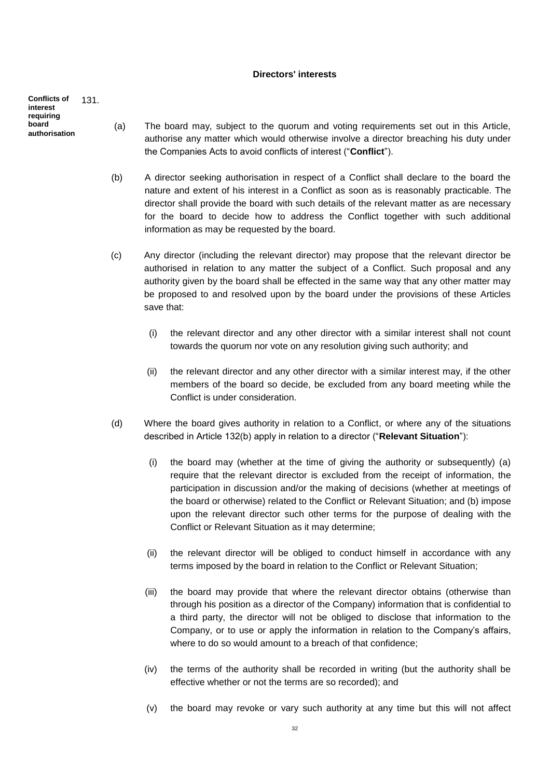### **Directors' interests**

131. **Conflicts of interest requiring board authorisation**

- (a) The board may, subject to the quorum and voting requirements set out in this Article, authorise any matter which would otherwise involve a director breaching his duty under the Companies Acts to avoid conflicts of interest ("**Conflict**").
- (b) A director seeking authorisation in respect of a Conflict shall declare to the board the nature and extent of his interest in a Conflict as soon as is reasonably practicable. The director shall provide the board with such details of the relevant matter as are necessary for the board to decide how to address the Conflict together with such additional information as may be requested by the board.
- (c) Any director (including the relevant director) may propose that the relevant director be authorised in relation to any matter the subject of a Conflict. Such proposal and any authority given by the board shall be effected in the same way that any other matter may be proposed to and resolved upon by the board under the provisions of these Articles save that:
	- (i) the relevant director and any other director with a similar interest shall not count towards the quorum nor vote on any resolution giving such authority; and
	- (ii) the relevant director and any other director with a similar interest may, if the other members of the board so decide, be excluded from any board meeting while the Conflict is under consideration.
- (d) Where the board gives authority in relation to a Conflict, or where any of the situations described in Article 132(b) apply in relation to a director ("**Relevant Situation**"):
	- (i) the board may (whether at the time of giving the authority or subsequently) (a) require that the relevant director is excluded from the receipt of information, the participation in discussion and/or the making of decisions (whether at meetings of the board or otherwise) related to the Conflict or Relevant Situation; and (b) impose upon the relevant director such other terms for the purpose of dealing with the Conflict or Relevant Situation as it may determine;
	- (ii) the relevant director will be obliged to conduct himself in accordance with any terms imposed by the board in relation to the Conflict or Relevant Situation;
	- (iii) the board may provide that where the relevant director obtains (otherwise than through his position as a director of the Company) information that is confidential to a third party, the director will not be obliged to disclose that information to the Company, or to use or apply the information in relation to the Company's affairs, where to do so would amount to a breach of that confidence;
	- (iv) the terms of the authority shall be recorded in writing (but the authority shall be effective whether or not the terms are so recorded); and
	- (v) the board may revoke or vary such authority at any time but this will not affect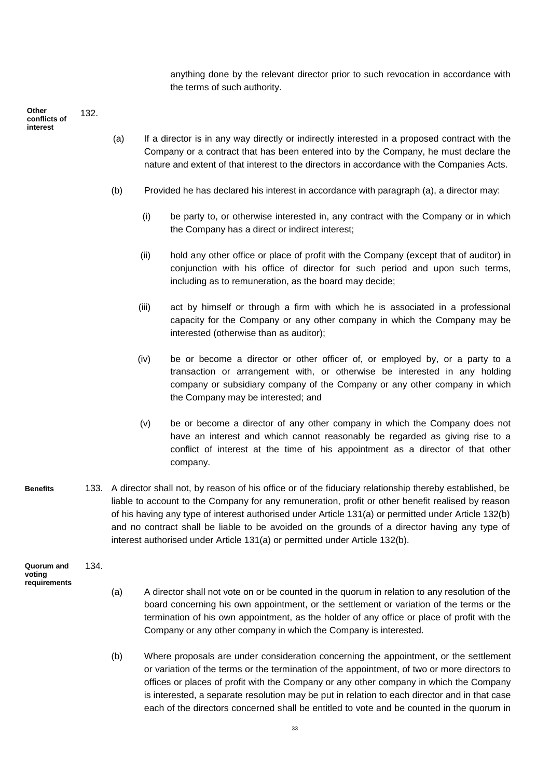anything done by the relevant director prior to such revocation in accordance with the terms of such authority.

132. **Other conflicts of interest** 

- (a) If a director is in any way directly or indirectly interested in a proposed contract with the Company or a contract that has been entered into by the Company, he must declare the nature and extent of that interest to the directors in accordance with the Companies Acts.
- (b) Provided he has declared his interest in accordance with paragraph (a), a director may:
	- (i) be party to, or otherwise interested in, any contract with the Company or in which the Company has a direct or indirect interest;
	- (ii) hold any other office or place of profit with the Company (except that of auditor) in conjunction with his office of director for such period and upon such terms, including as to remuneration, as the board may decide;
	- (iii) act by himself or through a firm with which he is associated in a professional capacity for the Company or any other company in which the Company may be interested (otherwise than as auditor);
	- (iv) be or become a director or other officer of, or employed by, or a party to a transaction or arrangement with, or otherwise be interested in any holding company or subsidiary company of the Company or any other company in which the Company may be interested; and
	- (v) be or become a director of any other company in which the Company does not have an interest and which cannot reasonably be regarded as giving rise to a conflict of interest at the time of his appointment as a director of that other company.
- 133. A director shall not, by reason of his office or of the fiduciary relationship thereby established, be liable to account to the Company for any remuneration, profit or other benefit realised by reason of his having any type of interest authorised under Article 131(a) or permitted under Article 132(b) and no contract shall be liable to be avoided on the grounds of a director having any type of interest authorised under Article 131(a) or permitted under Article 132(b). **Benefits**

134. **Quorum and voting requirements**

- (a) A director shall not vote on or be counted in the quorum in relation to any resolution of the board concerning his own appointment, or the settlement or variation of the terms or the termination of his own appointment, as the holder of any office or place of profit with the Company or any other company in which the Company is interested.
- (b) Where proposals are under consideration concerning the appointment, or the settlement or variation of the terms or the termination of the appointment, of two or more directors to offices or places of profit with the Company or any other company in which the Company is interested, a separate resolution may be put in relation to each director and in that case each of the directors concerned shall be entitled to vote and be counted in the quorum in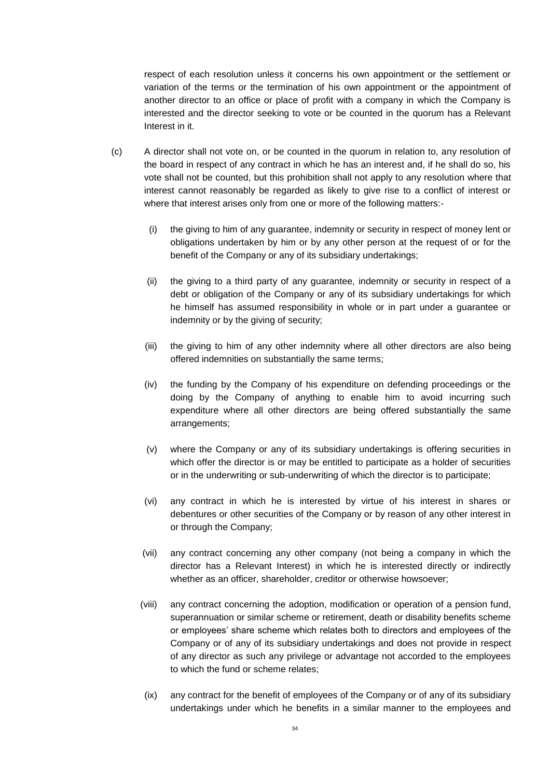respect of each resolution unless it concerns his own appointment or the settlement or variation of the terms or the termination of his own appointment or the appointment of another director to an office or place of profit with a company in which the Company is interested and the director seeking to vote or be counted in the quorum has a Relevant Interest in it.

- (c) A director shall not vote on, or be counted in the quorum in relation to, any resolution of the board in respect of any contract in which he has an interest and, if he shall do so, his vote shall not be counted, but this prohibition shall not apply to any resolution where that interest cannot reasonably be regarded as likely to give rise to a conflict of interest or where that interest arises only from one or more of the following matters:-
	- (i) the giving to him of any guarantee, indemnity or security in respect of money lent or obligations undertaken by him or by any other person at the request of or for the benefit of the Company or any of its subsidiary undertakings;
	- (ii) the giving to a third party of any guarantee, indemnity or security in respect of a debt or obligation of the Company or any of its subsidiary undertakings for which he himself has assumed responsibility in whole or in part under a guarantee or indemnity or by the giving of security;
	- (iii) the giving to him of any other indemnity where all other directors are also being offered indemnities on substantially the same terms;
	- (iv) the funding by the Company of his expenditure on defending proceedings or the doing by the Company of anything to enable him to avoid incurring such expenditure where all other directors are being offered substantially the same arrangements;
	- (v) where the Company or any of its subsidiary undertakings is offering securities in which offer the director is or may be entitled to participate as a holder of securities or in the underwriting or sub-underwriting of which the director is to participate;
	- (vi) any contract in which he is interested by virtue of his interest in shares or debentures or other securities of the Company or by reason of any other interest in or through the Company;
	- (vii) any contract concerning any other company (not being a company in which the director has a Relevant Interest) in which he is interested directly or indirectly whether as an officer, shareholder, creditor or otherwise howsoever;
	- (viii) any contract concerning the adoption, modification or operation of a pension fund, superannuation or similar scheme or retirement, death or disability benefits scheme or employees' share scheme which relates both to directors and employees of the Company or of any of its subsidiary undertakings and does not provide in respect of any director as such any privilege or advantage not accorded to the employees to which the fund or scheme relates;
	- (ix) any contract for the benefit of employees of the Company or of any of its subsidiary undertakings under which he benefits in a similar manner to the employees and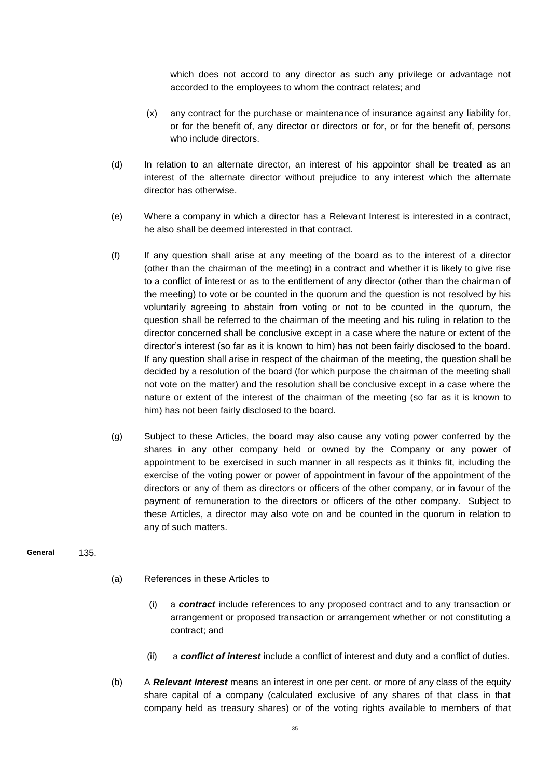which does not accord to any director as such any privilege or advantage not accorded to the employees to whom the contract relates; and

- (x) any contract for the purchase or maintenance of insurance against any liability for, or for the benefit of, any director or directors or for, or for the benefit of, persons who include directors.
- (d) In relation to an alternate director, an interest of his appointor shall be treated as an interest of the alternate director without prejudice to any interest which the alternate director has otherwise.
- (e) Where a company in which a director has a Relevant Interest is interested in a contract, he also shall be deemed interested in that contract.
- (f) If any question shall arise at any meeting of the board as to the interest of a director (other than the chairman of the meeting) in a contract and whether it is likely to give rise to a conflict of interest or as to the entitlement of any director (other than the chairman of the meeting) to vote or be counted in the quorum and the question is not resolved by his voluntarily agreeing to abstain from voting or not to be counted in the quorum, the question shall be referred to the chairman of the meeting and his ruling in relation to the director concerned shall be conclusive except in a case where the nature or extent of the director's interest (so far as it is known to him) has not been fairly disclosed to the board. If any question shall arise in respect of the chairman of the meeting, the question shall be decided by a resolution of the board (for which purpose the chairman of the meeting shall not vote on the matter) and the resolution shall be conclusive except in a case where the nature or extent of the interest of the chairman of the meeting (so far as it is known to him) has not been fairly disclosed to the board.
- (g) Subject to these Articles, the board may also cause any voting power conferred by the shares in any other company held or owned by the Company or any power of appointment to be exercised in such manner in all respects as it thinks fit, including the exercise of the voting power or power of appointment in favour of the appointment of the directors or any of them as directors or officers of the other company, or in favour of the payment of remuneration to the directors or officers of the other company. Subject to these Articles, a director may also vote on and be counted in the quorum in relation to any of such matters.

#### 135. **General**

- (a) References in these Articles to
	- (i) a *contract* include references to any proposed contract and to any transaction or arrangement or proposed transaction or arrangement whether or not constituting a contract; and
	- (ii) a *conflict of interest* include a conflict of interest and duty and a conflict of duties.
- (b) A *Relevant Interest* means an interest in one per cent. or more of any class of the equity share capital of a company (calculated exclusive of any shares of that class in that company held as treasury shares) or of the voting rights available to members of that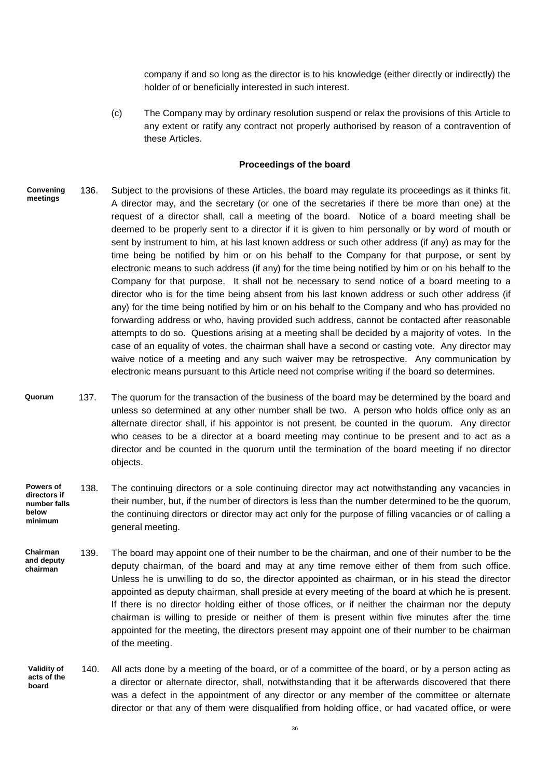company if and so long as the director is to his knowledge (either directly or indirectly) the holder of or beneficially interested in such interest.

(c) The Company may by ordinary resolution suspend or relax the provisions of this Article to any extent or ratify any contract not properly authorised by reason of a contravention of these Articles.

#### **Proceedings of the board**

- 136. Subject to the provisions of these Articles, the board may regulate its proceedings as it thinks fit. A director may, and the secretary (or one of the secretaries if there be more than one) at the request of a director shall, call a meeting of the board. Notice of a board meeting shall be deemed to be properly sent to a director if it is given to him personally or by word of mouth or sent by instrument to him, at his last known address or such other address (if any) as may for the time being be notified by him or on his behalf to the Company for that purpose, or sent by electronic means to such address (if any) for the time being notified by him or on his behalf to the Company for that purpose. It shall not be necessary to send notice of a board meeting to a director who is for the time being absent from his last known address or such other address (if any) for the time being notified by him or on his behalf to the Company and who has provided no forwarding address or who, having provided such address, cannot be contacted after reasonable attempts to do so. Questions arising at a meeting shall be decided by a majority of votes. In the case of an equality of votes, the chairman shall have a second or casting vote. Any director may waive notice of a meeting and any such waiver may be retrospective. Any communication by electronic means pursuant to this Article need not comprise writing if the board so determines. **Convening meetings**
- 137. The quorum for the transaction of the business of the board may be determined by the board and unless so determined at any other number shall be two. A person who holds office only as an alternate director shall, if his appointor is not present, be counted in the quorum. Any director who ceases to be a director at a board meeting may continue to be present and to act as a director and be counted in the quorum until the termination of the board meeting if no director objects. **Quorum**
- 138. The continuing directors or a sole continuing director may act notwithstanding any vacancies in their number, but, if the number of directors is less than the number determined to be the quorum, the continuing directors or director may act only for the purpose of filling vacancies or of calling a general meeting. **Powers of directors if number falls below minimum**
- 139. The board may appoint one of their number to be the chairman, and one of their number to be the deputy chairman, of the board and may at any time remove either of them from such office. Unless he is unwilling to do so, the director appointed as chairman, or in his stead the director appointed as deputy chairman, shall preside at every meeting of the board at which he is present. If there is no director holding either of those offices, or if neither the chairman nor the deputy chairman is willing to preside or neither of them is present within five minutes after the time appointed for the meeting, the directors present may appoint one of their number to be chairman of the meeting. **Chairman and deputy chairman**
- 140. All acts done by a meeting of the board, or of a committee of the board, or by a person acting as a director or alternate director, shall, notwithstanding that it be afterwards discovered that there was a defect in the appointment of any director or any member of the committee or alternate director or that any of them were disqualified from holding office, or had vacated office, or were **Validity of acts of the board**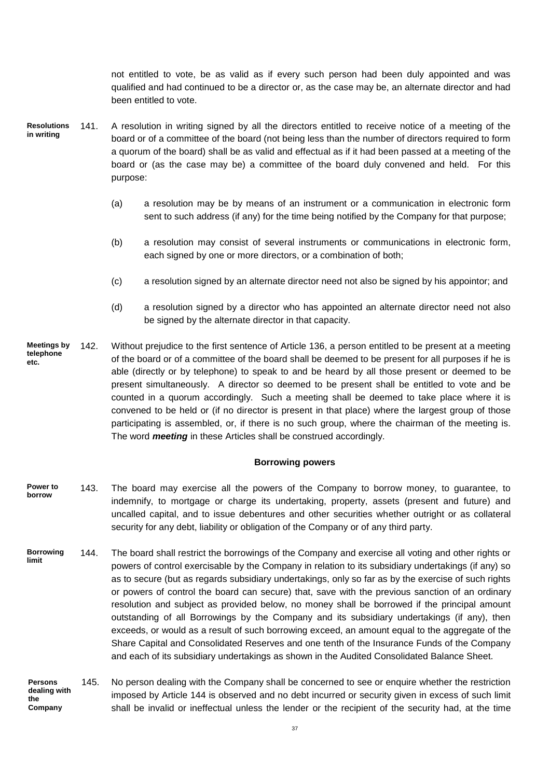not entitled to vote, be as valid as if every such person had been duly appointed and was qualified and had continued to be a director or, as the case may be, an alternate director and had been entitled to vote.

- 141. A resolution in writing signed by all the directors entitled to receive notice of a meeting of the board or of a committee of the board (not being less than the number of directors required to form a quorum of the board) shall be as valid and effectual as if it had been passed at a meeting of the board or (as the case may be) a committee of the board duly convened and held. For this purpose: **Resolutions in writing**
	- (a) a resolution may be by means of an instrument or a communication in electronic form sent to such address (if any) for the time being notified by the Company for that purpose;
	- (b) a resolution may consist of several instruments or communications in electronic form, each signed by one or more directors, or a combination of both;
	- (c) a resolution signed by an alternate director need not also be signed by his appointor; and
	- (d) a resolution signed by a director who has appointed an alternate director need not also be signed by the alternate director in that capacity.
- 142. Without prejudice to the first sentence of Article 136, a person entitled to be present at a meeting of the board or of a committee of the board shall be deemed to be present for all purposes if he is able (directly or by telephone) to speak to and be heard by all those present or deemed to be present simultaneously. A director so deemed to be present shall be entitled to vote and be counted in a quorum accordingly. Such a meeting shall be deemed to take place where it is convened to be held or (if no director is present in that place) where the largest group of those participating is assembled, or, if there is no such group, where the chairman of the meeting is. The word *meeting* in these Articles shall be construed accordingly. **Meetings by telephone etc.**

## **Borrowing powers**

- 143. The board may exercise all the powers of the Company to borrow money, to guarantee, to indemnify, to mortgage or charge its undertaking, property, assets (present and future) and uncalled capital, and to issue debentures and other securities whether outright or as collateral security for any debt, liability or obligation of the Company or of any third party. **Power to borrow**
- 144. The board shall restrict the borrowings of the Company and exercise all voting and other rights or powers of control exercisable by the Company in relation to its subsidiary undertakings (if any) so as to secure (but as regards subsidiary undertakings, only so far as by the exercise of such rights or powers of control the board can secure) that, save with the previous sanction of an ordinary resolution and subject as provided below, no money shall be borrowed if the principal amount outstanding of all Borrowings by the Company and its subsidiary undertakings (if any), then exceeds, or would as a result of such borrowing exceed, an amount equal to the aggregate of the Share Capital and Consolidated Reserves and one tenth of the Insurance Funds of the Company and each of its subsidiary undertakings as shown in the Audited Consolidated Balance Sheet. **Borrowing limit**
- 145. No person dealing with the Company shall be concerned to see or enquire whether the restriction imposed by Article 144 is observed and no debt incurred or security given in excess of such limit shall be invalid or ineffectual unless the lender or the recipient of the security had, at the time **Persons dealing with the Company**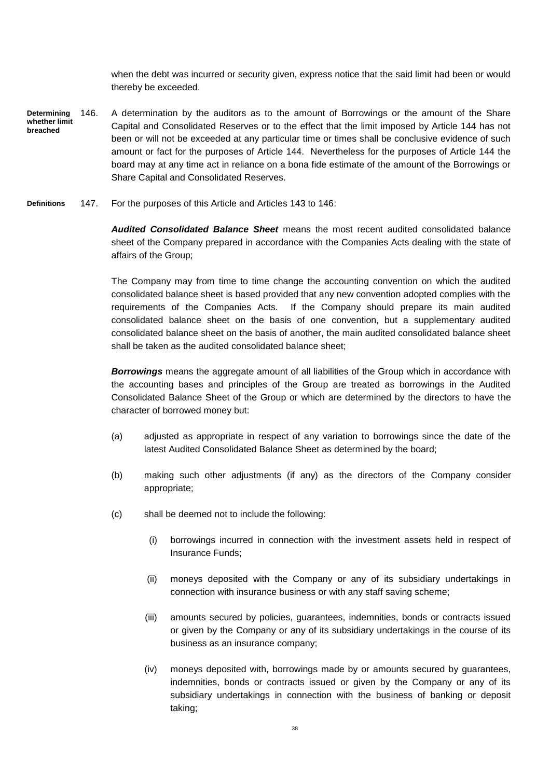when the debt was incurred or security given, express notice that the said limit had been or would thereby be exceeded.

- 146. A determination by the auditors as to the amount of Borrowings or the amount of the Share Capital and Consolidated Reserves or to the effect that the limit imposed by Article 144 has not been or will not be exceeded at any particular time or times shall be conclusive evidence of such amount or fact for the purposes of Article 144. Nevertheless for the purposes of Article 144 the board may at any time act in reliance on a bona fide estimate of the amount of the Borrowings or Share Capital and Consolidated Reserves. **Determining whether limit breached**
- 147. For the purposes of this Article and Articles 143 to 146: **Definitions**

*Audited Consolidated Balance Sheet* means the most recent audited consolidated balance sheet of the Company prepared in accordance with the Companies Acts dealing with the state of affairs of the Group;

The Company may from time to time change the accounting convention on which the audited consolidated balance sheet is based provided that any new convention adopted complies with the requirements of the Companies Acts. If the Company should prepare its main audited consolidated balance sheet on the basis of one convention, but a supplementary audited consolidated balance sheet on the basis of another, the main audited consolidated balance sheet shall be taken as the audited consolidated balance sheet;

*Borrowings* means the aggregate amount of all liabilities of the Group which in accordance with the accounting bases and principles of the Group are treated as borrowings in the Audited Consolidated Balance Sheet of the Group or which are determined by the directors to have the character of borrowed money but:

- (a) adjusted as appropriate in respect of any variation to borrowings since the date of the latest Audited Consolidated Balance Sheet as determined by the board;
- (b) making such other adjustments (if any) as the directors of the Company consider appropriate;
- (c) shall be deemed not to include the following:
	- (i) borrowings incurred in connection with the investment assets held in respect of Insurance Funds;
	- (ii) moneys deposited with the Company or any of its subsidiary undertakings in connection with insurance business or with any staff saving scheme;
	- (iii) amounts secured by policies, guarantees, indemnities, bonds or contracts issued or given by the Company or any of its subsidiary undertakings in the course of its business as an insurance company;
	- (iv) moneys deposited with, borrowings made by or amounts secured by guarantees, indemnities, bonds or contracts issued or given by the Company or any of its subsidiary undertakings in connection with the business of banking or deposit taking;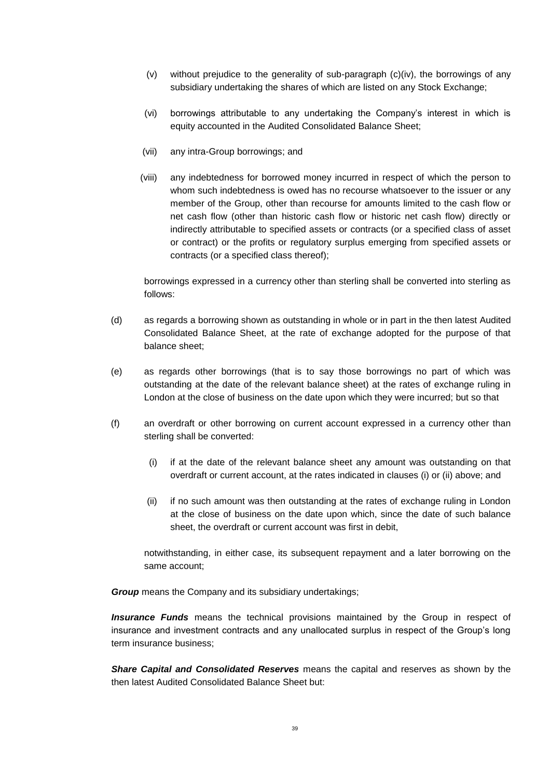- (v) without prejudice to the generality of sub-paragraph (c)(iv), the borrowings of any subsidiary undertaking the shares of which are listed on any Stock Exchange;
- (vi) borrowings attributable to any undertaking the Company's interest in which is equity accounted in the Audited Consolidated Balance Sheet;
- (vii) any intra-Group borrowings; and
- (viii) any indebtedness for borrowed money incurred in respect of which the person to whom such indebtedness is owed has no recourse whatsoever to the issuer or any member of the Group, other than recourse for amounts limited to the cash flow or net cash flow (other than historic cash flow or historic net cash flow) directly or indirectly attributable to specified assets or contracts (or a specified class of asset or contract) or the profits or regulatory surplus emerging from specified assets or contracts (or a specified class thereof);

borrowings expressed in a currency other than sterling shall be converted into sterling as follows:

- (d) as regards a borrowing shown as outstanding in whole or in part in the then latest Audited Consolidated Balance Sheet, at the rate of exchange adopted for the purpose of that balance sheet;
- (e) as regards other borrowings (that is to say those borrowings no part of which was outstanding at the date of the relevant balance sheet) at the rates of exchange ruling in London at the close of business on the date upon which they were incurred; but so that
- (f) an overdraft or other borrowing on current account expressed in a currency other than sterling shall be converted:
	- (i) if at the date of the relevant balance sheet any amount was outstanding on that overdraft or current account, at the rates indicated in clauses (i) or (ii) above; and
	- (ii) if no such amount was then outstanding at the rates of exchange ruling in London at the close of business on the date upon which, since the date of such balance sheet, the overdraft or current account was first in debit,

notwithstanding, in either case, its subsequent repayment and a later borrowing on the same account;

*Group* means the Company and its subsidiary undertakings;

*Insurance Funds* means the technical provisions maintained by the Group in respect of insurance and investment contracts and any unallocated surplus in respect of the Group's long term insurance business;

*Share Capital and Consolidated Reserves* means the capital and reserves as shown by the then latest Audited Consolidated Balance Sheet but: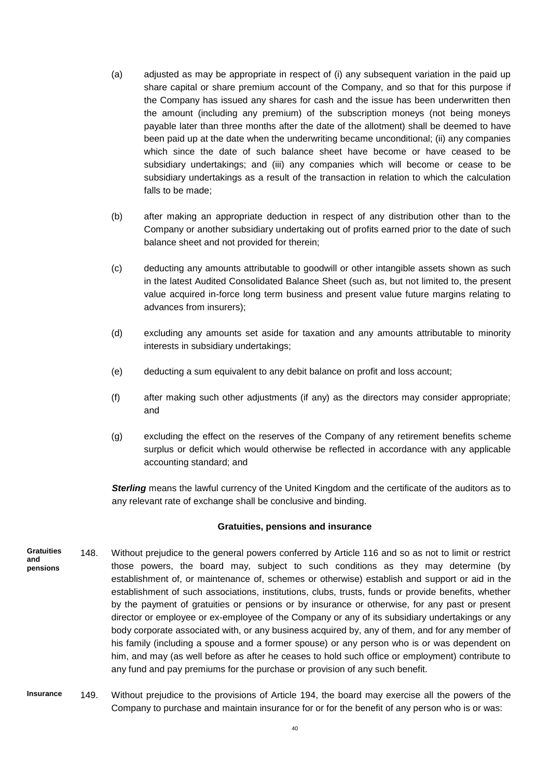- (a) adjusted as may be appropriate in respect of (i) any subsequent variation in the paid up share capital or share premium account of the Company, and so that for this purpose if the Company has issued any shares for cash and the issue has been underwritten then the amount (including any premium) of the subscription moneys (not being moneys payable later than three months after the date of the allotment) shall be deemed to have been paid up at the date when the underwriting became unconditional; (ii) any companies which since the date of such balance sheet have become or have ceased to be subsidiary undertakings; and (iii) any companies which will become or cease to be subsidiary undertakings as a result of the transaction in relation to which the calculation falls to be made;
- (b) after making an appropriate deduction in respect of any distribution other than to the Company or another subsidiary undertaking out of profits earned prior to the date of such balance sheet and not provided for therein;
- (c) deducting any amounts attributable to goodwill or other intangible assets shown as such in the latest Audited Consolidated Balance Sheet (such as, but not limited to, the present value acquired in-force long term business and present value future margins relating to advances from insurers);
- (d) excluding any amounts set aside for taxation and any amounts attributable to minority interests in subsidiary undertakings;
- (e) deducting a sum equivalent to any debit balance on profit and loss account;
- (f) after making such other adjustments (if any) as the directors may consider appropriate; and
- (g) excluding the effect on the reserves of the Company of any retirement benefits scheme surplus or deficit which would otherwise be reflected in accordance with any applicable accounting standard; and

*Sterling* means the lawful currency of the United Kingdom and the certificate of the auditors as to any relevant rate of exchange shall be conclusive and binding.

#### **Gratuities, pensions and insurance**

- 148. Without prejudice to the general powers conferred by Article 116 and so as not to limit or restrict those powers, the board may, subject to such conditions as they may determine (by establishment of, or maintenance of, schemes or otherwise) establish and support or aid in the establishment of such associations, institutions, clubs, trusts, funds or provide benefits, whether by the payment of gratuities or pensions or by insurance or otherwise, for any past or present director or employee or ex-employee of the Company or any of its subsidiary undertakings or any body corporate associated with, or any business acquired by, any of them, and for any member of his family (including a spouse and a former spouse) or any person who is or was dependent on him, and may (as well before as after he ceases to hold such office or employment) contribute to any fund and pay premiums for the purchase or provision of any such benefit. **Gratuities and pensions**
- 149. Without prejudice to the provisions of Article 194, the board may exercise all the powers of the Company to purchase and maintain insurance for or for the benefit of any person who is or was: **Insurance**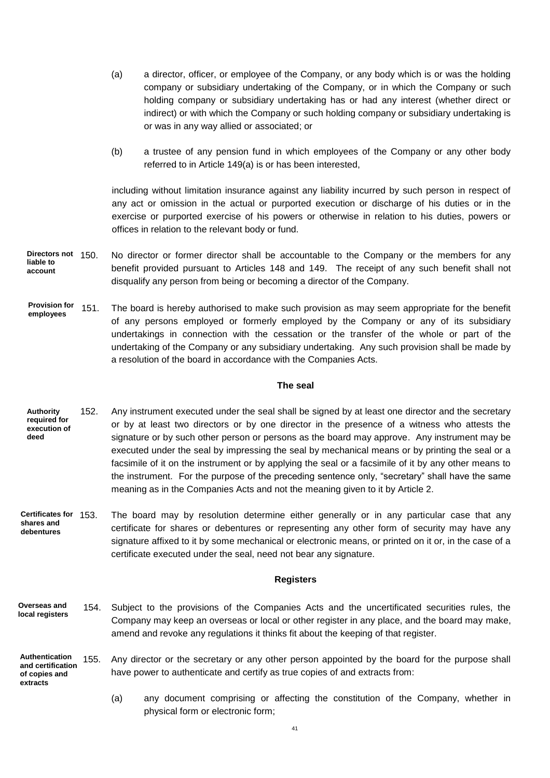- (a) a director, officer, or employee of the Company, or any body which is or was the holding company or subsidiary undertaking of the Company, or in which the Company or such holding company or subsidiary undertaking has or had any interest (whether direct or indirect) or with which the Company or such holding company or subsidiary undertaking is or was in any way allied or associated; or
- (b) a trustee of any pension fund in which employees of the Company or any other body referred to in Article 149(a) is or has been interested,

including without limitation insurance against any liability incurred by such person in respect of any act or omission in the actual or purported execution or discharge of his duties or in the exercise or purported exercise of his powers or otherwise in relation to his duties, powers or offices in relation to the relevant body or fund.

- No director or former director shall be accountable to the Company or the members for any benefit provided pursuant to Articles 148 and 149. The receipt of any such benefit shall not disqualify any person from being or becoming a director of the Company. **Directors not liable to account**
- The board is hereby authorised to make such provision as may seem appropriate for the benefit of any persons employed or formerly employed by the Company or any of its subsidiary undertakings in connection with the cessation or the transfer of the whole or part of the undertaking of the Company or any subsidiary undertaking. Any such provision shall be made by a resolution of the board in accordance with the Companies Acts. **Provision for employees**

#### **The seal**

- 152. Any instrument executed under the seal shall be signed by at least one director and the secretary or by at least two directors or by one director in the presence of a witness who attests the signature or by such other person or persons as the board may approve. Any instrument may be executed under the seal by impressing the seal by mechanical means or by printing the seal or a facsimile of it on the instrument or by applying the seal or a facsimile of it by any other means to the instrument. For the purpose of the preceding sentence only, "secretary" shall have the same meaning as in the Companies Acts and not the meaning given to it by Article 2. **Authority required for execution of deed**
- The board may by resolution determine either generally or in any particular case that any certificate for shares or debentures or representing any other form of security may have any signature affixed to it by some mechanical or electronic means, or printed on it or, in the case of a certificate executed under the seal, need not bear any signature. **Certificates for shares and debentures**

#### **Registers**

- 154. Subject to the provisions of the Companies Acts and the uncertificated securities rules, the Company may keep an overseas or local or other register in any place, and the board may make, amend and revoke any regulations it thinks fit about the keeping of that register. **Overseas and local registers**
- 155. Any director or the secretary or any other person appointed by the board for the purpose shall have power to authenticate and certify as true copies of and extracts from: **Authentication and certification of copies and extracts**
	- (a) any document comprising or affecting the constitution of the Company, whether in physical form or electronic form;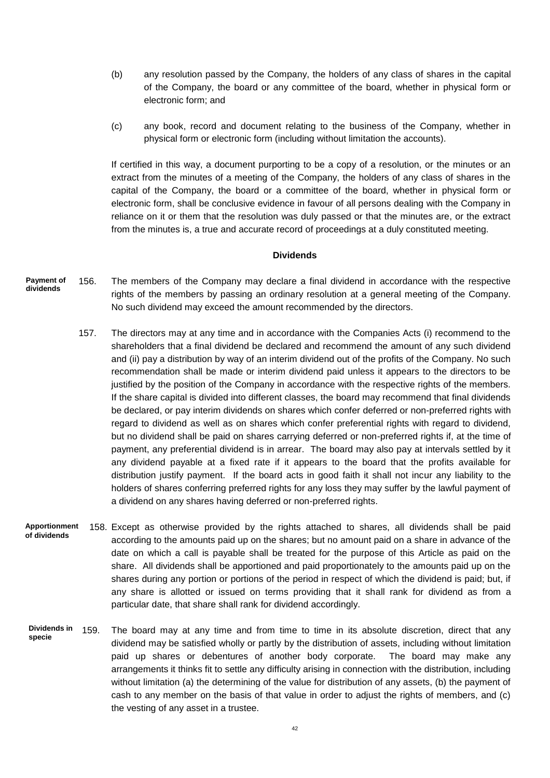- (b) any resolution passed by the Company, the holders of any class of shares in the capital of the Company, the board or any committee of the board, whether in physical form or electronic form; and
- (c) any book, record and document relating to the business of the Company, whether in physical form or electronic form (including without limitation the accounts).

If certified in this way, a document purporting to be a copy of a resolution, or the minutes or an extract from the minutes of a meeting of the Company, the holders of any class of shares in the capital of the Company, the board or a committee of the board, whether in physical form or electronic form, shall be conclusive evidence in favour of all persons dealing with the Company in reliance on it or them that the resolution was duly passed or that the minutes are, or the extract from the minutes is, a true and accurate record of proceedings at a duly constituted meeting.

#### **Dividends**

- 156. The members of the Company may declare a final dividend in accordance with the respective rights of the members by passing an ordinary resolution at a general meeting of the Company. No such dividend may exceed the amount recommended by the directors. **Payment of dividends**
	- 157. The directors may at any time and in accordance with the Companies Acts (i) recommend to the shareholders that a final dividend be declared and recommend the amount of any such dividend and (ii) pay a distribution by way of an interim dividend out of the profits of the Company. No such recommendation shall be made or interim dividend paid unless it appears to the directors to be justified by the position of the Company in accordance with the respective rights of the members. If the share capital is divided into different classes, the board may recommend that final dividends be declared, or pay interim dividends on shares which confer deferred or non-preferred rights with regard to dividend as well as on shares which confer preferential rights with regard to dividend, but no dividend shall be paid on shares carrying deferred or non-preferred rights if, at the time of payment, any preferential dividend is in arrear. The board may also pay at intervals settled by it any dividend payable at a fixed rate if it appears to the board that the profits available for distribution justify payment. If the board acts in good faith it shall not incur any liability to the holders of shares conferring preferred rights for any loss they may suffer by the lawful payment of a dividend on any shares having deferred or non-preferred rights.
- 158. Except as otherwise provided by the rights attached to shares, all dividends shall be paid according to the amounts paid up on the shares; but no amount paid on a share in advance of the date on which a call is payable shall be treated for the purpose of this Article as paid on the share. All dividends shall be apportioned and paid proportionately to the amounts paid up on the shares during any portion or portions of the period in respect of which the dividend is paid; but, if any share is allotted or issued on terms providing that it shall rank for dividend as from a particular date, that share shall rank for dividend accordingly. **Apportionment of dividends**
- 159. The board may at any time and from time to time in its absolute discretion, direct that any dividend may be satisfied wholly or partly by the distribution of assets, including without limitation paid up shares or debentures of another body corporate. The board may make any arrangements it thinks fit to settle any difficulty arising in connection with the distribution, including without limitation (a) the determining of the value for distribution of any assets, (b) the payment of cash to any member on the basis of that value in order to adjust the rights of members, and (c) the vesting of any asset in a trustee. **Dividends in specie**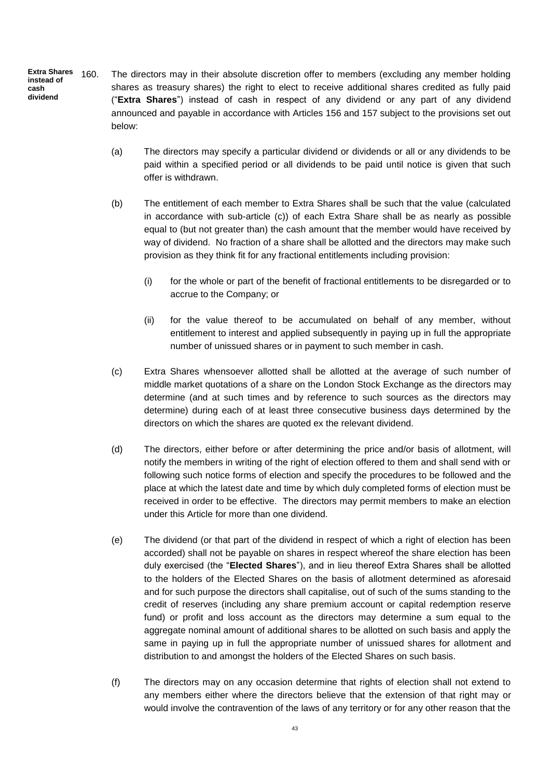160. The directors may in their absolute discretion offer to members (excluding any member holding shares as treasury shares) the right to elect to receive additional shares credited as fully paid ("**Extra Shares**") instead of cash in respect of any dividend or any part of any dividend announced and payable in accordance with Articles 156 and 157 subject to the provisions set out below: **Extra Shares instead of cash dividend**

- (a) The directors may specify a particular dividend or dividends or all or any dividends to be paid within a specified period or all dividends to be paid until notice is given that such offer is withdrawn.
- (b) The entitlement of each member to Extra Shares shall be such that the value (calculated in accordance with sub-article (c)) of each Extra Share shall be as nearly as possible equal to (but not greater than) the cash amount that the member would have received by way of dividend. No fraction of a share shall be allotted and the directors may make such provision as they think fit for any fractional entitlements including provision:
	- (i) for the whole or part of the benefit of fractional entitlements to be disregarded or to accrue to the Company; or
	- (ii) for the value thereof to be accumulated on behalf of any member, without entitlement to interest and applied subsequently in paying up in full the appropriate number of unissued shares or in payment to such member in cash.
- (c) Extra Shares whensoever allotted shall be allotted at the average of such number of middle market quotations of a share on the London Stock Exchange as the directors may determine (and at such times and by reference to such sources as the directors may determine) during each of at least three consecutive business days determined by the directors on which the shares are quoted ex the relevant dividend.
- (d) The directors, either before or after determining the price and/or basis of allotment, will notify the members in writing of the right of election offered to them and shall send with or following such notice forms of election and specify the procedures to be followed and the place at which the latest date and time by which duly completed forms of election must be received in order to be effective. The directors may permit members to make an election under this Article for more than one dividend.
- (e) The dividend (or that part of the dividend in respect of which a right of election has been accorded) shall not be payable on shares in respect whereof the share election has been duly exercised (the "**Elected Shares**"), and in lieu thereof Extra Shares shall be allotted to the holders of the Elected Shares on the basis of allotment determined as aforesaid and for such purpose the directors shall capitalise, out of such of the sums standing to the credit of reserves (including any share premium account or capital redemption reserve fund) or profit and loss account as the directors may determine a sum equal to the aggregate nominal amount of additional shares to be allotted on such basis and apply the same in paying up in full the appropriate number of unissued shares for allotment and distribution to and amongst the holders of the Elected Shares on such basis.
- (f) The directors may on any occasion determine that rights of election shall not extend to any members either where the directors believe that the extension of that right may or would involve the contravention of the laws of any territory or for any other reason that the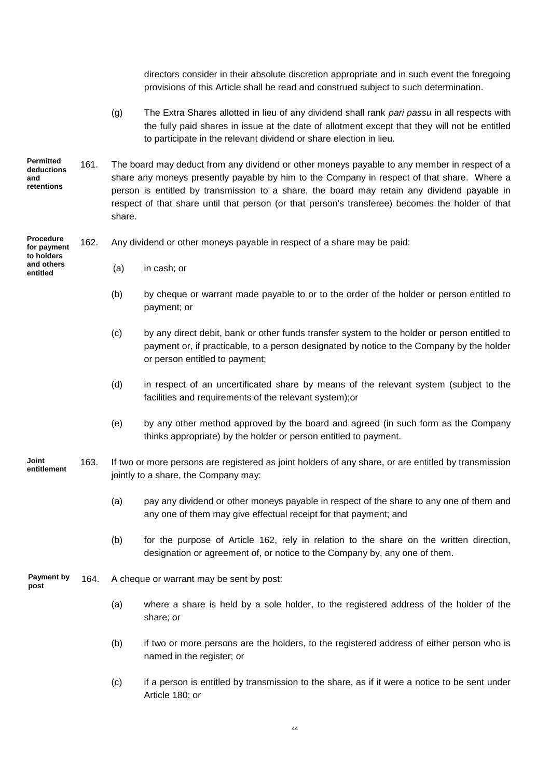|                                                     |      |                                                                                                                                              | directors consider in their absolute discretion appropriate and in such event the foregoing<br>provisions of this Article shall be read and construed subject to such determination.                                                                                                                                                                                                          |
|-----------------------------------------------------|------|----------------------------------------------------------------------------------------------------------------------------------------------|-----------------------------------------------------------------------------------------------------------------------------------------------------------------------------------------------------------------------------------------------------------------------------------------------------------------------------------------------------------------------------------------------|
|                                                     |      | (g)                                                                                                                                          | The Extra Shares allotted in lieu of any dividend shall rank pari passu in all respects with<br>the fully paid shares in issue at the date of allotment except that they will not be entitled<br>to participate in the relevant dividend or share election in lieu.                                                                                                                           |
| <b>Permitted</b><br>deductions<br>and<br>retentions | 161. | share.                                                                                                                                       | The board may deduct from any dividend or other moneys payable to any member in respect of a<br>share any moneys presently payable by him to the Company in respect of that share. Where a<br>person is entitled by transmission to a share, the board may retain any dividend payable in<br>respect of that share until that person (or that person's transferee) becomes the holder of that |
| <b>Procedure</b><br>for payment<br>to holders       | 162. |                                                                                                                                              | Any dividend or other moneys payable in respect of a share may be paid:                                                                                                                                                                                                                                                                                                                       |
| and others<br>entitled                              |      | (a)                                                                                                                                          | in cash; or                                                                                                                                                                                                                                                                                                                                                                                   |
|                                                     |      | (b)                                                                                                                                          | by cheque or warrant made payable to or to the order of the holder or person entitled to<br>payment; or                                                                                                                                                                                                                                                                                       |
|                                                     |      | (c)                                                                                                                                          | by any direct debit, bank or other funds transfer system to the holder or person entitled to<br>payment or, if practicable, to a person designated by notice to the Company by the holder<br>or person entitled to payment;                                                                                                                                                                   |
|                                                     |      | (d)                                                                                                                                          | in respect of an uncertificated share by means of the relevant system (subject to the<br>facilities and requirements of the relevant system); or                                                                                                                                                                                                                                              |
|                                                     |      | (e)                                                                                                                                          | by any other method approved by the board and agreed (in such form as the Company<br>thinks appropriate) by the holder or person entitled to payment.                                                                                                                                                                                                                                         |
| Joint<br>entitlement                                | 163. | If two or more persons are registered as joint holders of any share, or are entitled by transmission<br>jointly to a share, the Company may: |                                                                                                                                                                                                                                                                                                                                                                                               |
|                                                     |      | (a)                                                                                                                                          | pay any dividend or other moneys payable in respect of the share to any one of them and<br>any one of them may give effectual receipt for that payment; and                                                                                                                                                                                                                                   |
|                                                     |      | (b)                                                                                                                                          | for the purpose of Article 162, rely in relation to the share on the written direction,<br>designation or agreement of, or notice to the Company by, any one of them.                                                                                                                                                                                                                         |
| <b>Payment by</b><br>post                           | 164. | A cheque or warrant may be sent by post:                                                                                                     |                                                                                                                                                                                                                                                                                                                                                                                               |
|                                                     |      | (a)                                                                                                                                          | where a share is held by a sole holder, to the registered address of the holder of the<br>share; or                                                                                                                                                                                                                                                                                           |
|                                                     |      | (b)                                                                                                                                          | if two or more persons are the holders, to the registered address of either person who is<br>named in the register; or                                                                                                                                                                                                                                                                        |
|                                                     |      | (c)                                                                                                                                          | if a person is entitled by transmission to the share, as if it were a notice to be sent under<br>Article 180; or                                                                                                                                                                                                                                                                              |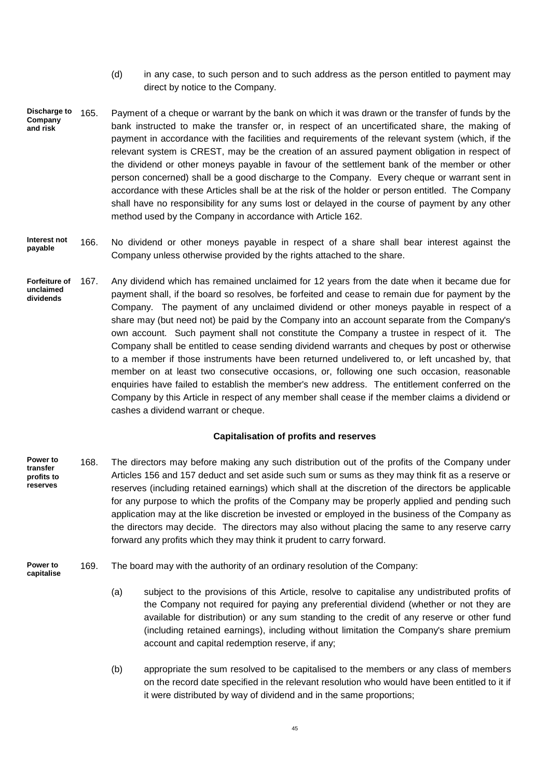- (d) in any case, to such person and to such address as the person entitled to payment may direct by notice to the Company.
- 165. Payment of a cheque or warrant by the bank on which it was drawn or the transfer of funds by the bank instructed to make the transfer or, in respect of an uncertificated share, the making of payment in accordance with the facilities and requirements of the relevant system (which, if the relevant system is CREST, may be the creation of an assured payment obligation in respect of the dividend or other moneys payable in favour of the settlement bank of the member or other person concerned) shall be a good discharge to the Company. Every cheque or warrant sent in accordance with these Articles shall be at the risk of the holder or person entitled. The Company shall have no responsibility for any sums lost or delayed in the course of payment by any other method used by the Company in accordance with Article 162. **Discharge to Company and risk**
- 166. No dividend or other moneys payable in respect of a share shall bear interest against the Company unless otherwise provided by the rights attached to the share. **Interest not payable**
- 167. Any dividend which has remained unclaimed for 12 years from the date when it became due for payment shall, if the board so resolves, be forfeited and cease to remain due for payment by the Company. The payment of any unclaimed dividend or other moneys payable in respect of a share may (but need not) be paid by the Company into an account separate from the Company's own account. Such payment shall not constitute the Company a trustee in respect of it. The Company shall be entitled to cease sending dividend warrants and cheques by post or otherwise to a member if those instruments have been returned undelivered to, or left uncashed by, that member on at least two consecutive occasions, or, following one such occasion, reasonable enquiries have failed to establish the member's new address. The entitlement conferred on the Company by this Article in respect of any member shall cease if the member claims a dividend or cashes a dividend warrant or cheque. **Forfeiture of unclaimed dividends**

## **Capitalisation of profits and reserves**

- 168. The directors may before making any such distribution out of the profits of the Company under Articles 156 and 157 deduct and set aside such sum or sums as they may think fit as a reserve or reserves (including retained earnings) which shall at the discretion of the directors be applicable for any purpose to which the profits of the Company may be properly applied and pending such application may at the like discretion be invested or employed in the business of the Company as the directors may decide. The directors may also without placing the same to any reserve carry forward any profits which they may think it prudent to carry forward. **Power to transfer profits to reserves**
- 169. The board may with the authority of an ordinary resolution of the Company: **Power to capitalise**
	- (a) subject to the provisions of this Article, resolve to capitalise any undistributed profits of the Company not required for paying any preferential dividend (whether or not they are available for distribution) or any sum standing to the credit of any reserve or other fund (including retained earnings), including without limitation the Company's share premium account and capital redemption reserve, if any;
	- (b) appropriate the sum resolved to be capitalised to the members or any class of members on the record date specified in the relevant resolution who would have been entitled to it if it were distributed by way of dividend and in the same proportions;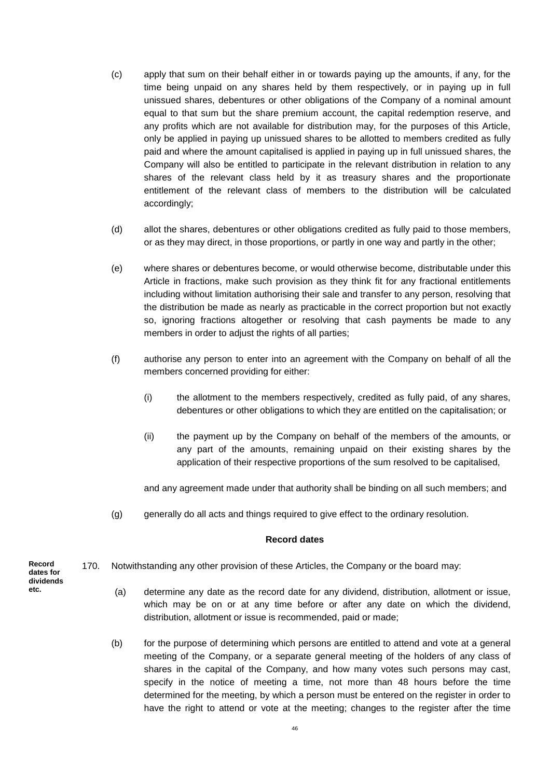- (c) apply that sum on their behalf either in or towards paying up the amounts, if any, for the time being unpaid on any shares held by them respectively, or in paying up in full unissued shares, debentures or other obligations of the Company of a nominal amount equal to that sum but the share premium account, the capital redemption reserve, and any profits which are not available for distribution may, for the purposes of this Article, only be applied in paying up unissued shares to be allotted to members credited as fully paid and where the amount capitalised is applied in paying up in full unissued shares, the Company will also be entitled to participate in the relevant distribution in relation to any shares of the relevant class held by it as treasury shares and the proportionate entitlement of the relevant class of members to the distribution will be calculated accordingly;
- (d) allot the shares, debentures or other obligations credited as fully paid to those members, or as they may direct, in those proportions, or partly in one way and partly in the other;
- (e) where shares or debentures become, or would otherwise become, distributable under this Article in fractions, make such provision as they think fit for any fractional entitlements including without limitation authorising their sale and transfer to any person, resolving that the distribution be made as nearly as practicable in the correct proportion but not exactly so, ignoring fractions altogether or resolving that cash payments be made to any members in order to adjust the rights of all parties;
- (f) authorise any person to enter into an agreement with the Company on behalf of all the members concerned providing for either:
	- (i) the allotment to the members respectively, credited as fully paid, of any shares, debentures or other obligations to which they are entitled on the capitalisation; or
	- (ii) the payment up by the Company on behalf of the members of the amounts, or any part of the amounts, remaining unpaid on their existing shares by the application of their respective proportions of the sum resolved to be capitalised,

and any agreement made under that authority shall be binding on all such members; and

(g) generally do all acts and things required to give effect to the ordinary resolution.

## **Record dates**

- 170. Notwithstanding any other provision of these Articles, the Company or the board may:
	- (a) determine any date as the record date for any dividend, distribution, allotment or issue, which may be on or at any time before or after any date on which the dividend, distribution, allotment or issue is recommended, paid or made;
	- (b) for the purpose of determining which persons are entitled to attend and vote at a general meeting of the Company, or a separate general meeting of the holders of any class of shares in the capital of the Company, and how many votes such persons may cast, specify in the notice of meeting a time, not more than 48 hours before the time determined for the meeting, by which a person must be entered on the register in order to have the right to attend or vote at the meeting; changes to the register after the time

**Record dates for dividends etc.**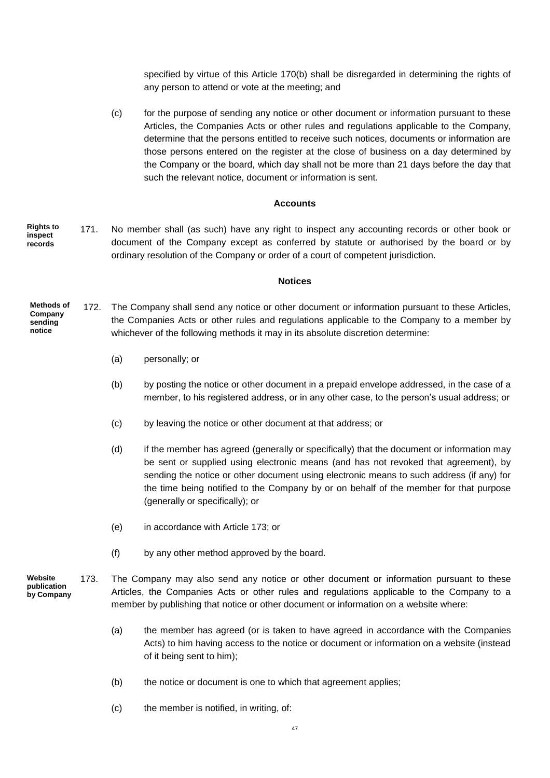specified by virtue of this Article 170(b) shall be disregarded in determining the rights of any person to attend or vote at the meeting; and

(c) for the purpose of sending any notice or other document or information pursuant to these Articles, the Companies Acts or other rules and regulations applicable to the Company, determine that the persons entitled to receive such notices, documents or information are those persons entered on the register at the close of business on a day determined by the Company or the board, which day shall not be more than 21 days before the day that such the relevant notice, document or information is sent.

#### **Accounts**

171. No member shall (as such) have any right to inspect any accounting records or other book or document of the Company except as conferred by statute or authorised by the board or by ordinary resolution of the Company or order of a court of competent jurisdiction. **Rights to inspect records**

#### **Notices**

- 172. The Company shall send any notice or other document or information pursuant to these Articles, the Companies Acts or other rules and regulations applicable to the Company to a member by whichever of the following methods it may in its absolute discretion determine: **Methods of Company sending notice**
	- (a) personally; or
	- (b) by posting the notice or other document in a prepaid envelope addressed, in the case of a member, to his registered address, or in any other case, to the person's usual address; or
	- (c) by leaving the notice or other document at that address; or
	- (d) if the member has agreed (generally or specifically) that the document or information may be sent or supplied using electronic means (and has not revoked that agreement), by sending the notice or other document using electronic means to such address (if any) for the time being notified to the Company by or on behalf of the member for that purpose (generally or specifically); or
	- (e) in accordance with Article 173; or
	- (f) by any other method approved by the board.
- 173. The Company may also send any notice or other document or information pursuant to these Articles, the Companies Acts or other rules and regulations applicable to the Company to a member by publishing that notice or other document or information on a website where: **Website publication** 
	- (a) the member has agreed (or is taken to have agreed in accordance with the Companies Acts) to him having access to the notice or document or information on a website (instead of it being sent to him);
	- (b) the notice or document is one to which that agreement applies;
	- (c) the member is notified, in writing, of: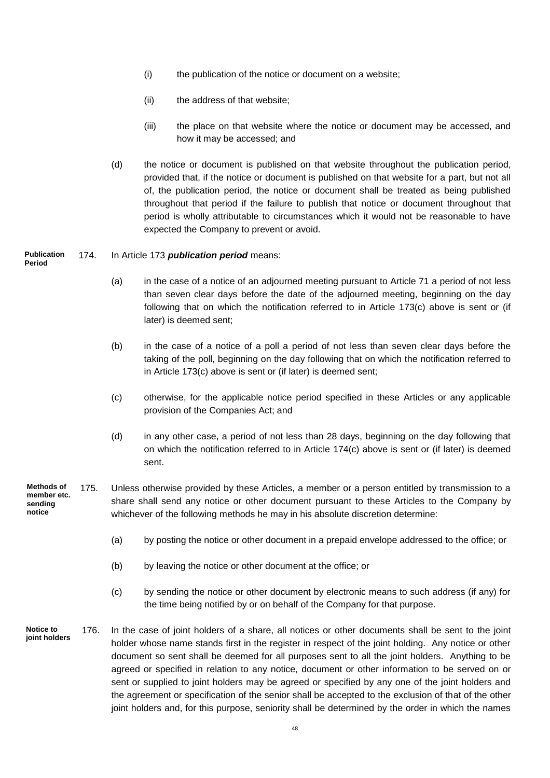- (i) the publication of the notice or document on a website;
- (ii) the address of that website;
- (iii) the place on that website where the notice or document may be accessed, and how it may be accessed; and
- (d) the notice or document is published on that website throughout the publication period, provided that, if the notice or document is published on that website for a part, but not all of, the publication period, the notice or document shall be treated as being published throughout that period if the failure to publish that notice or document throughout that period is wholly attributable to circumstances which it would not be reasonable to have expected the Company to prevent or avoid.

**Publication Period**

## 174. In Article 173 *publication period* means:

- (a) in the case of a notice of an adjourned meeting pursuant to Article 71 a period of not less than seven clear days before the date of the adjourned meeting, beginning on the day following that on which the notification referred to in Article 173(c) above is sent or (if later) is deemed sent;
- (b) in the case of a notice of a poll a period of not less than seven clear days before the taking of the poll, beginning on the day following that on which the notification referred to in Article 173(c) above is sent or (if later) is deemed sent;
- (c) otherwise, for the applicable notice period specified in these Articles or any applicable provision of the Companies Act; and
- (d) in any other case, a period of not less than 28 days, beginning on the day following that on which the notification referred to in Article 174(c) above is sent or (if later) is deemed sent.
- 175. Unless otherwise provided by these Articles, a member or a person entitled by transmission to a share shall send any notice or other document pursuant to these Articles to the Company by whichever of the following methods he may in his absolute discretion determine: **Methods of member etc. sending notice**
	- (a) by posting the notice or other document in a prepaid envelope addressed to the office; or
	- (b) by leaving the notice or other document at the office; or
	- (c) by sending the notice or other document by electronic means to such address (if any) for the time being notified by or on behalf of the Company for that purpose.
- 176. In the case of joint holders of a share, all notices or other documents shall be sent to the joint holder whose name stands first in the register in respect of the joint holding. Any notice or other document so sent shall be deemed for all purposes sent to all the joint holders. Anything to be agreed or specified in relation to any notice, document or other information to be served on or sent or supplied to joint holders may be agreed or specified by any one of the joint holders and the agreement or specification of the senior shall be accepted to the exclusion of that of the other joint holders and, for this purpose, seniority shall be determined by the order in which the names **Notice to joint holders**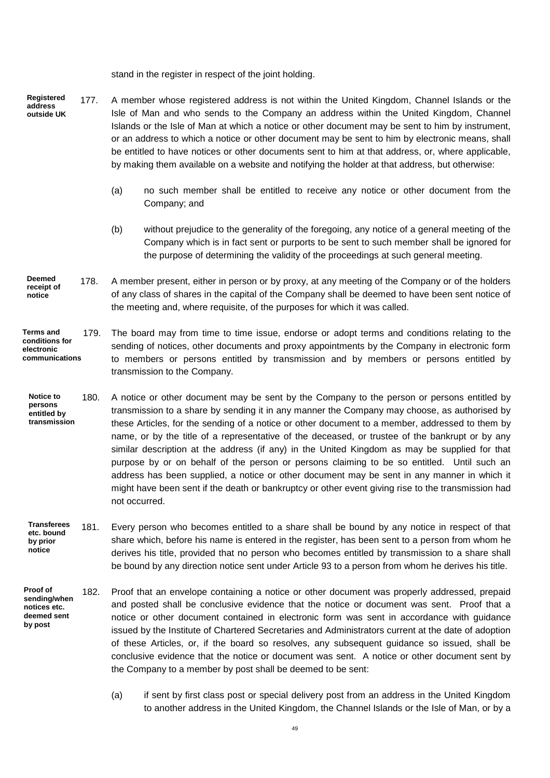stand in the register in respect of the joint holding.

- 177. A member whose registered address is not within the United Kingdom, Channel Islands or the Isle of Man and who sends to the Company an address within the United Kingdom, Channel Islands or the Isle of Man at which a notice or other document may be sent to him by instrument, or an address to which a notice or other document may be sent to him by electronic means, shall be entitled to have notices or other documents sent to him at that address, or, where applicable, by making them available on a website and notifying the holder at that address, but otherwise: **Registered address outside UK**
	- (a) no such member shall be entitled to receive any notice or other document from the Company; and
	- (b) without prejudice to the generality of the foregoing, any notice of a general meeting of the Company which is in fact sent or purports to be sent to such member shall be ignored for the purpose of determining the validity of the proceedings at such general meeting.
- 178. A member present, either in person or by proxy, at any meeting of the Company or of the holders of any class of shares in the capital of the Company shall be deemed to have been sent notice of the meeting and, where requisite, of the purposes for which it was called. **Deemed receipt of notice**
- 179. The board may from time to time issue, endorse or adopt terms and conditions relating to the sending of notices, other documents and proxy appointments by the Company in electronic form to members or persons entitled by transmission and by members or persons entitled by transmission to the Company. **Terms and conditions for electronic communications**
- 180. A notice or other document may be sent by the Company to the person or persons entitled by transmission to a share by sending it in any manner the Company may choose, as authorised by these Articles, for the sending of a notice or other document to a member, addressed to them by name, or by the title of a representative of the deceased, or trustee of the bankrupt or by any similar description at the address (if any) in the United Kingdom as may be supplied for that purpose by or on behalf of the person or persons claiming to be so entitled. Until such an address has been supplied, a notice or other document may be sent in any manner in which it might have been sent if the death or bankruptcy or other event giving rise to the transmission had not occurred. **Notice to persons entitled by transmission**
- 181. Every person who becomes entitled to a share shall be bound by any notice in respect of that share which, before his name is entered in the register, has been sent to a person from whom he derives his title, provided that no person who becomes entitled by transmission to a share shall be bound by any direction notice sent under Article 93 to a person from whom he derives his title. **Transferees etc. bound by prior notice**
- 182. Proof that an envelope containing a notice or other document was properly addressed, prepaid and posted shall be conclusive evidence that the notice or document was sent. Proof that a notice or other document contained in electronic form was sent in accordance with guidance issued by the Institute of Chartered Secretaries and Administrators current at the date of adoption of these Articles, or, if the board so resolves, any subsequent guidance so issued, shall be conclusive evidence that the notice or document was sent. A notice or other document sent by the Company to a member by post shall be deemed to be sent: **Proof of sending/when notices etc. deemed sent by post**
	- (a) if sent by first class post or special delivery post from an address in the United Kingdom to another address in the United Kingdom, the Channel Islands or the Isle of Man, or by a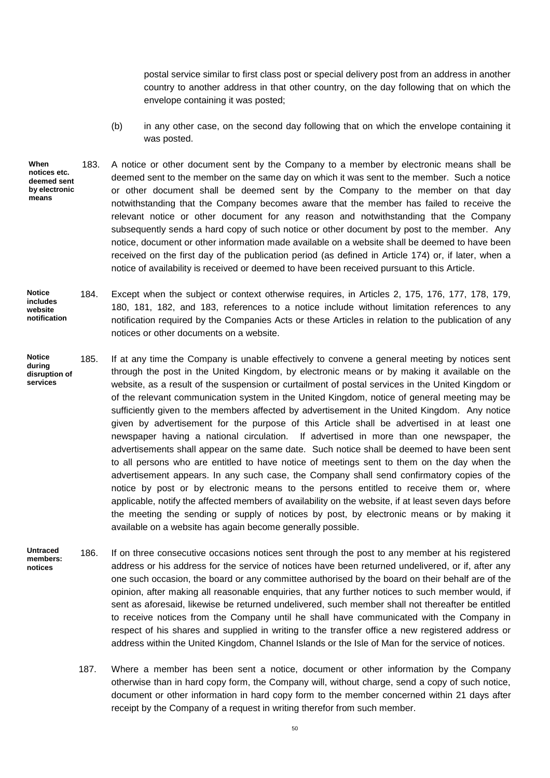postal service similar to first class post or special delivery post from an address in another country to another address in that other country, on the day following that on which the envelope containing it was posted;

- (b) in any other case, on the second day following that on which the envelope containing it was posted.
- 183. A notice or other document sent by the Company to a member by electronic means shall be deemed sent to the member on the same day on which it was sent to the member. Such a notice or other document shall be deemed sent by the Company to the member on that day notwithstanding that the Company becomes aware that the member has failed to receive the relevant notice or other document for any reason and notwithstanding that the Company subsequently sends a hard copy of such notice or other document by post to the member. Any notice, document or other information made available on a website shall be deemed to have been received on the first day of the publication period (as defined in Article 174) or, if later, when a notice of availability is received or deemed to have been received pursuant to this Article. **When notices etc. deemed sent by electronic means**
- 184. Except when the subject or context otherwise requires, in Articles 2, 175, 176, 177, 178, 179, 180, 181, 182, and 183, references to a notice include without limitation references to any notification required by the Companies Acts or these Articles in relation to the publication of any notices or other documents on a website. **Notice includes website notification**
- 185. If at any time the Company is unable effectively to convene a general meeting by notices sent through the post in the United Kingdom, by electronic means or by making it available on the website, as a result of the suspension or curtailment of postal services in the United Kingdom or of the relevant communication system in the United Kingdom, notice of general meeting may be sufficiently given to the members affected by advertisement in the United Kingdom. Any notice given by advertisement for the purpose of this Article shall be advertised in at least one newspaper having a national circulation. If advertised in more than one newspaper, the advertisements shall appear on the same date. Such notice shall be deemed to have been sent to all persons who are entitled to have notice of meetings sent to them on the day when the advertisement appears. In any such case, the Company shall send confirmatory copies of the notice by post or by electronic means to the persons entitled to receive them or, where applicable, notify the affected members of availability on the website, if at least seven days before the meeting the sending or supply of notices by post, by electronic means or by making it available on a website has again become generally possible. **Notice during disruption of services**
- 186. If on three consecutive occasions notices sent through the post to any member at his registered address or his address for the service of notices have been returned undelivered, or if, after any one such occasion, the board or any committee authorised by the board on their behalf are of the opinion, after making all reasonable enquiries, that any further notices to such member would, if sent as aforesaid, likewise be returned undelivered, such member shall not thereafter be entitled to receive notices from the Company until he shall have communicated with the Company in respect of his shares and supplied in writing to the transfer office a new registered address or address within the United Kingdom, Channel Islands or the Isle of Man for the service of notices. **Untraced members: notices**
	- 187. Where a member has been sent a notice, document or other information by the Company otherwise than in hard copy form, the Company will, without charge, send a copy of such notice, document or other information in hard copy form to the member concerned within 21 days after receipt by the Company of a request in writing therefor from such member.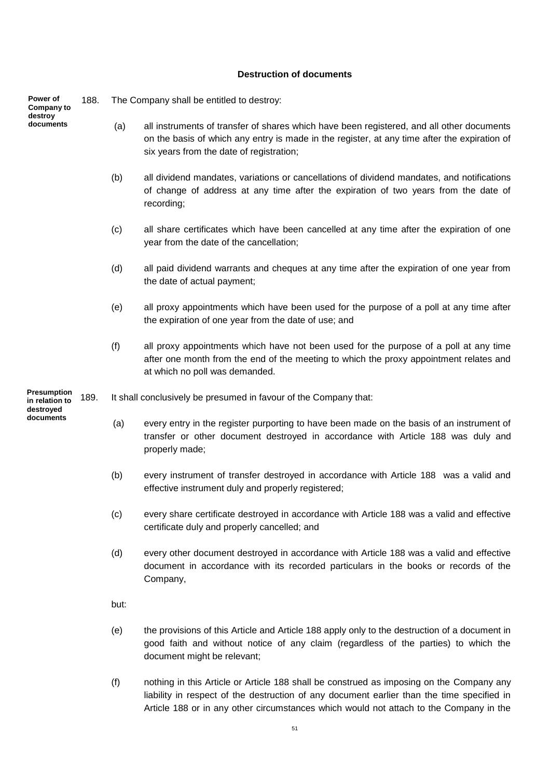## **Destruction of documents**

| Power of<br>Company to               | 188. |      | The Company shall be entitled to destroy:                                                                                                                                                                                             |
|--------------------------------------|------|------|---------------------------------------------------------------------------------------------------------------------------------------------------------------------------------------------------------------------------------------|
| destroy<br>documents                 |      | (a)  | all instruments of transfer of shares which have been registered, and all other documents<br>on the basis of which any entry is made in the register, at any time after the expiration of<br>six years from the date of registration; |
|                                      |      | (b)  | all dividend mandates, variations or cancellations of dividend mandates, and notifications<br>of change of address at any time after the expiration of two years from the date of<br>recording;                                       |
|                                      |      | (c)  | all share certificates which have been cancelled at any time after the expiration of one<br>year from the date of the cancellation;                                                                                                   |
|                                      |      | (d)  | all paid dividend warrants and cheques at any time after the expiration of one year from<br>the date of actual payment;                                                                                                               |
|                                      |      | (e)  | all proxy appointments which have been used for the purpose of a poll at any time after<br>the expiration of one year from the date of use; and                                                                                       |
|                                      |      | (f)  | all proxy appointments which have not been used for the purpose of a poll at any time<br>after one month from the end of the meeting to which the proxy appointment relates and<br>at which no poll was demanded.                     |
| <b>Presumption</b><br>in relation to | 189. |      | It shall conclusively be presumed in favour of the Company that:                                                                                                                                                                      |
| destroyed<br>documents               |      | (a)  | every entry in the register purporting to have been made on the basis of an instrument of<br>transfer or other document destroyed in accordance with Article 188 was duly and<br>properly made;                                       |
|                                      |      | (b)  | every instrument of transfer destroyed in accordance with Article 188 was a valid and<br>effective instrument duly and properly registered;                                                                                           |
|                                      |      | (c)  | every share certificate destroyed in accordance with Article 188 was a valid and effective<br>certificate duly and properly cancelled; and                                                                                            |
|                                      |      | (d)  | every other document destroyed in accordance with Article 188 was a valid and effective<br>document in accordance with its recorded particulars in the books or records of the<br>Company,                                            |
|                                      |      | but: |                                                                                                                                                                                                                                       |
|                                      |      | (e)  | the provisions of this Article and Article 188 apply only to the destruction of a document in<br>good faith and without notice of any claim (regardless of the parties) to which the<br>document might be relevant;                   |
|                                      |      | (f)  | nothing in this Article or Article 188 shall be construed as imposing on the Company any                                                                                                                                              |

liability in respect of the destruction of any document earlier than the time specified in Article 188 or in any other circumstances which would not attach to the Company in the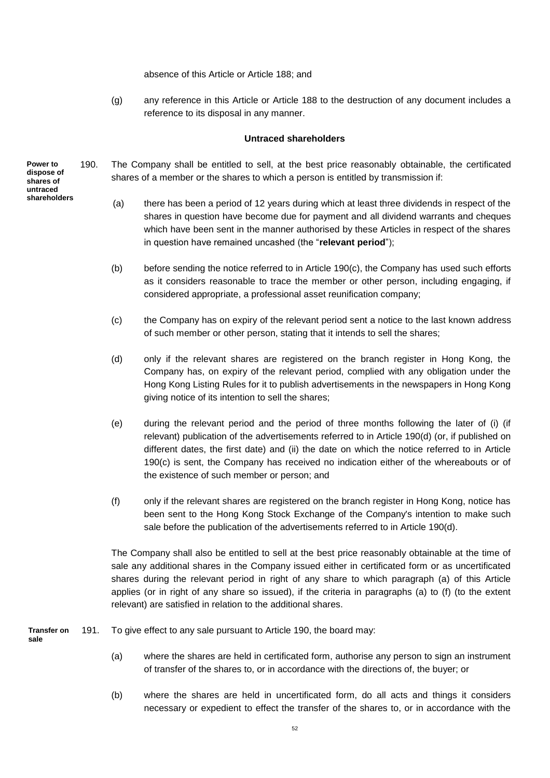absence of this Article or Article 188; and

(g) any reference in this Article or Article 188 to the destruction of any document includes a reference to its disposal in any manner.

## **Untraced shareholders**

- 190. The Company shall be entitled to sell, at the best price reasonably obtainable, the certificated shares of a member or the shares to which a person is entitled by transmission if:
	- (a) there has been a period of 12 years during which at least three dividends in respect of the shares in question have become due for payment and all dividend warrants and cheques which have been sent in the manner authorised by these Articles in respect of the shares in question have remained uncashed (the "**relevant period**");
	- (b) before sending the notice referred to in Article 190(c), the Company has used such efforts as it considers reasonable to trace the member or other person, including engaging, if considered appropriate, a professional asset reunification company;
	- (c) the Company has on expiry of the relevant period sent a notice to the last known address of such member or other person, stating that it intends to sell the shares;
	- (d) only if the relevant shares are registered on the branch register in Hong Kong, the Company has, on expiry of the relevant period, complied with any obligation under the Hong Kong Listing Rules for it to publish advertisements in the newspapers in Hong Kong giving notice of its intention to sell the shares;
	- (e) during the relevant period and the period of three months following the later of (i) (if relevant) publication of the advertisements referred to in Article 190(d) (or, if published on different dates, the first date) and (ii) the date on which the notice referred to in Article 190(c) is sent, the Company has received no indication either of the whereabouts or of the existence of such member or person; and
	- (f) only if the relevant shares are registered on the branch register in Hong Kong, notice has been sent to the Hong Kong Stock Exchange of the Company's intention to make such sale before the publication of the advertisements referred to in Article 190(d).

The Company shall also be entitled to sell at the best price reasonably obtainable at the time of sale any additional shares in the Company issued either in certificated form or as uncertificated shares during the relevant period in right of any share to which paragraph (a) of this Article applies (or in right of any share so issued), if the criteria in paragraphs (a) to (f) (to the extent relevant) are satisfied in relation to the additional shares.

191. To give effect to any sale pursuant to Article 190, the board may: **Transfer on sale**

- (a) where the shares are held in certificated form, authorise any person to sign an instrument of transfer of the shares to, or in accordance with the directions of, the buyer; or
- (b) where the shares are held in uncertificated form, do all acts and things it considers necessary or expedient to effect the transfer of the shares to, or in accordance with the

**Power to dispose of shares of untraced shareholders**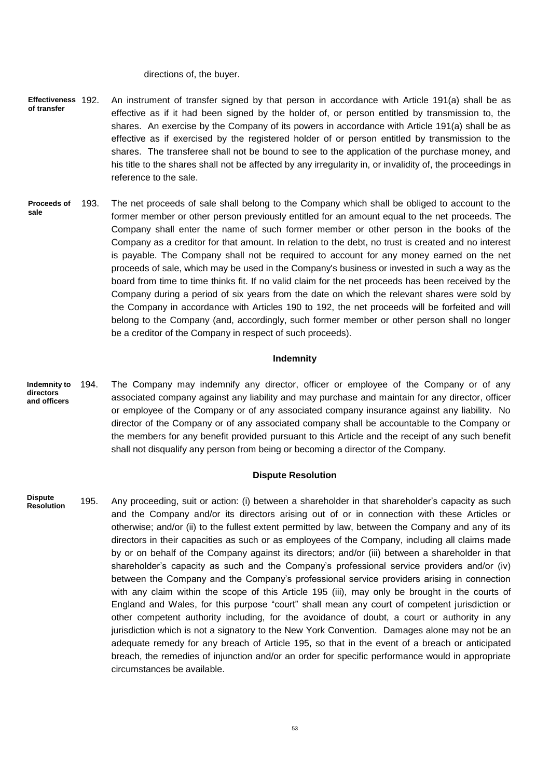directions of, the buyer.

- 192. An instrument of transfer signed by that person in accordance with Article 191(a) shall be as effective as if it had been signed by the holder of, or person entitled by transmission to, the shares. An exercise by the Company of its powers in accordance with Article 191(a) shall be as effective as if exercised by the registered holder of or person entitled by transmission to the shares. The transferee shall not be bound to see to the application of the purchase money, and his title to the shares shall not be affected by any irregularity in, or invalidity of, the proceedings in reference to the sale. **Effectiveness of transfer**
- 193. The net proceeds of sale shall belong to the Company which shall be obliged to account to the former member or other person previously entitled for an amount equal to the net proceeds. The Company shall enter the name of such former member or other person in the books of the Company as a creditor for that amount. In relation to the debt, no trust is created and no interest is payable. The Company shall not be required to account for any money earned on the net proceeds of sale, which may be used in the Company's business or invested in such a way as the board from time to time thinks fit. If no valid claim for the net proceeds has been received by the Company during a period of six years from the date on which the relevant shares were sold by the Company in accordance with Articles 190 to 192, the net proceeds will be forfeited and will belong to the Company (and, accordingly, such former member or other person shall no longer be a creditor of the Company in respect of such proceeds). **Proceeds of sale**

#### **Indemnity**

194. The Company may indemnify any director, officer or employee of the Company or of any associated company against any liability and may purchase and maintain for any director, officer or employee of the Company or of any associated company insurance against any liability. No director of the Company or of any associated company shall be accountable to the Company or the members for any benefit provided pursuant to this Article and the receipt of any such benefit shall not disqualify any person from being or becoming a director of the Company. **Indemnity to directors and officers**

#### **Dispute Resolution**

195. Any proceeding, suit or action: (i) between a shareholder in that shareholder's capacity as such and the Company and/or its directors arising out of or in connection with these Articles or otherwise; and/or (ii) to the fullest extent permitted by law, between the Company and any of its directors in their capacities as such or as employees of the Company, including all claims made by or on behalf of the Company against its directors; and/or (iii) between a shareholder in that shareholder's capacity as such and the Company's professional service providers and/or (iv) between the Company and the Company's professional service providers arising in connection with any claim within the scope of this Article 195 (iii), may only be brought in the courts of England and Wales, for this purpose "court" shall mean any court of competent jurisdiction or other competent authority including, for the avoidance of doubt, a court or authority in any jurisdiction which is not a signatory to the New York Convention. Damages alone may not be an adequate remedy for any breach of Article 195, so that in the event of a breach or anticipated breach, the remedies of injunction and/or an order for specific performance would in appropriate circumstances be available. **Dispute Resolution**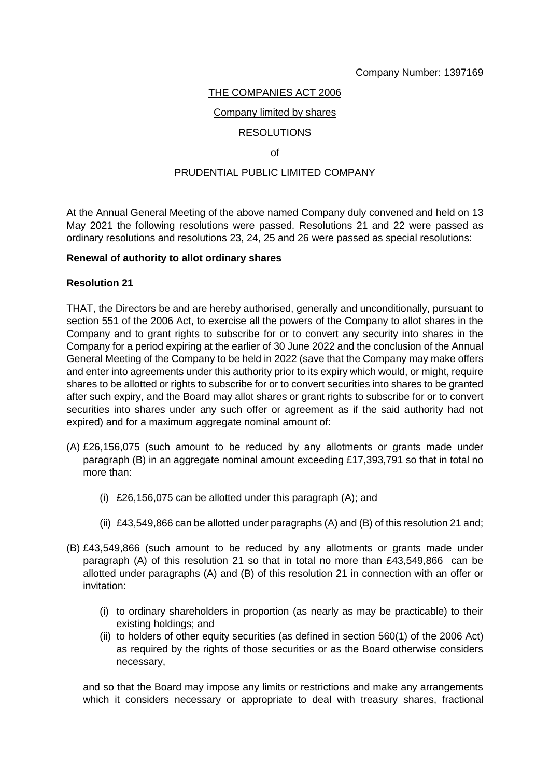# THE COMPANIES ACT 2006

## Company limited by shares

# RESOLUTIONS

## of

# PRUDENTIAL PUBLIC LIMITED COMPANY

At the Annual General Meeting of the above named Company duly convened and held on 13 May 2021 the following resolutions were passed. Resolutions 21 and 22 were passed as ordinary resolutions and resolutions 23, 24, 25 and 26 were passed as special resolutions:

## **Renewal of authority to allot ordinary shares**

## **Resolution 21**

THAT, the Directors be and are hereby authorised, generally and unconditionally, pursuant to section 551 of the 2006 Act, to exercise all the powers of the Company to allot shares in the Company and to grant rights to subscribe for or to convert any security into shares in the Company for a period expiring at the earlier of 30 June 2022 and the conclusion of the Annual General Meeting of the Company to be held in 2022 (save that the Company may make offers and enter into agreements under this authority prior to its expiry which would, or might, require shares to be allotted or rights to subscribe for or to convert securities into shares to be granted after such expiry, and the Board may allot shares or grant rights to subscribe for or to convert securities into shares under any such offer or agreement as if the said authority had not expired) and for a maximum aggregate nominal amount of:

- (A) £26,156,075 (such amount to be reduced by any allotments or grants made under paragraph (B) in an aggregate nominal amount exceeding £17,393,791 so that in total no more than:
	- (i) £26,156,075 can be allotted under this paragraph (A); and
	- (ii) £43,549,866 can be allotted under paragraphs (A) and (B) of this resolution 21 and;
- (B) £43,549,866 (such amount to be reduced by any allotments or grants made under paragraph (A) of this resolution 21 so that in total no more than £43,549,866 can be allotted under paragraphs (A) and (B) of this resolution 21 in connection with an offer or invitation:
	- (i) to ordinary shareholders in proportion (as nearly as may be practicable) to their existing holdings; and
	- (ii) to holders of other equity securities (as defined in section 560(1) of the 2006 Act) as required by the rights of those securities or as the Board otherwise considers necessary,

and so that the Board may impose any limits or restrictions and make any arrangements which it considers necessary or appropriate to deal with treasury shares, fractional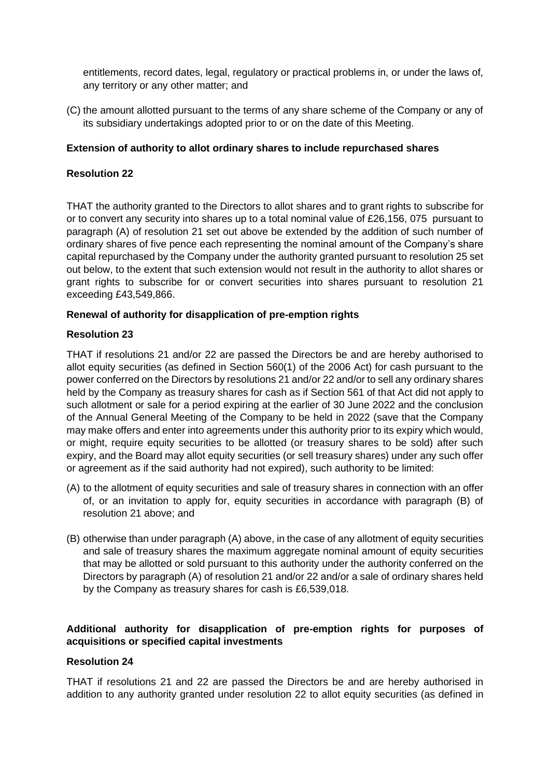entitlements, record dates, legal, regulatory or practical problems in, or under the laws of, any territory or any other matter; and

(C) the amount allotted pursuant to the terms of any share scheme of the Company or any of its subsidiary undertakings adopted prior to or on the date of this Meeting.

# **Extension of authority to allot ordinary shares to include repurchased shares**

# **Resolution 22**

THAT the authority granted to the Directors to allot shares and to grant rights to subscribe for or to convert any security into shares up to a total nominal value of £26,156, 075 pursuant to paragraph (A) of resolution 21 set out above be extended by the addition of such number of ordinary shares of five pence each representing the nominal amount of the Company's share capital repurchased by the Company under the authority granted pursuant to resolution 25 set out below, to the extent that such extension would not result in the authority to allot shares or grant rights to subscribe for or convert securities into shares pursuant to resolution 21 exceeding £43,549,866.

# **Renewal of authority for disapplication of pre-emption rights**

# **Resolution 23**

THAT if resolutions 21 and/or 22 are passed the Directors be and are hereby authorised to allot equity securities (as defined in Section 560(1) of the 2006 Act) for cash pursuant to the power conferred on the Directors by resolutions 21 and/or 22 and/or to sell any ordinary shares held by the Company as treasury shares for cash as if Section 561 of that Act did not apply to such allotment or sale for a period expiring at the earlier of 30 June 2022 and the conclusion of the Annual General Meeting of the Company to be held in 2022 (save that the Company may make offers and enter into agreements under this authority prior to its expiry which would, or might, require equity securities to be allotted (or treasury shares to be sold) after such expiry, and the Board may allot equity securities (or sell treasury shares) under any such offer or agreement as if the said authority had not expired), such authority to be limited:

- (A) to the allotment of equity securities and sale of treasury shares in connection with an offer of, or an invitation to apply for, equity securities in accordance with paragraph (B) of resolution 21 above; and
- (B) otherwise than under paragraph (A) above, in the case of any allotment of equity securities and sale of treasury shares the maximum aggregate nominal amount of equity securities that may be allotted or sold pursuant to this authority under the authority conferred on the Directors by paragraph (A) of resolution 21 and/or 22 and/or a sale of ordinary shares held by the Company as treasury shares for cash is £6,539,018.

# **Additional authority for disapplication of pre-emption rights for purposes of acquisitions or specified capital investments**

# **Resolution 24**

THAT if resolutions 21 and 22 are passed the Directors be and are hereby authorised in addition to any authority granted under resolution 22 to allot equity securities (as defined in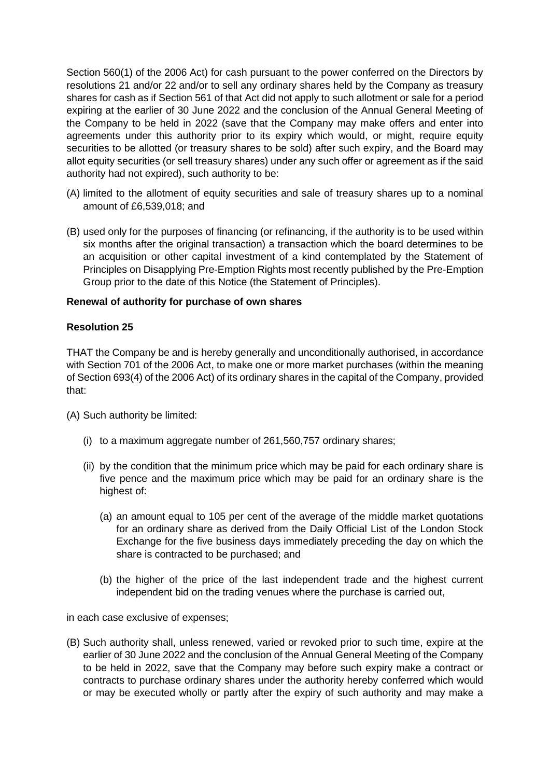Section 560(1) of the 2006 Act) for cash pursuant to the power conferred on the Directors by resolutions 21 and/or 22 and/or to sell any ordinary shares held by the Company as treasury shares for cash as if Section 561 of that Act did not apply to such allotment or sale for a period expiring at the earlier of 30 June 2022 and the conclusion of the Annual General Meeting of the Company to be held in 2022 (save that the Company may make offers and enter into agreements under this authority prior to its expiry which would, or might, require equity securities to be allotted (or treasury shares to be sold) after such expiry, and the Board may allot equity securities (or sell treasury shares) under any such offer or agreement as if the said authority had not expired), such authority to be:

- (A) limited to the allotment of equity securities and sale of treasury shares up to a nominal amount of £6,539,018; and
- (B) used only for the purposes of financing (or refinancing, if the authority is to be used within six months after the original transaction) a transaction which the board determines to be an acquisition or other capital investment of a kind contemplated by the Statement of Principles on Disapplying Pre-Emption Rights most recently published by the Pre-Emption Group prior to the date of this Notice (the Statement of Principles).

# **Renewal of authority for purchase of own shares**

# **Resolution 25**

THAT the Company be and is hereby generally and unconditionally authorised, in accordance with Section 701 of the 2006 Act, to make one or more market purchases (within the meaning of Section 693(4) of the 2006 Act) of its ordinary shares in the capital of the Company, provided that:

(A) Such authority be limited:

- (i) to a maximum aggregate number of 261,560,757 ordinary shares;
- (ii) by the condition that the minimum price which may be paid for each ordinary share is five pence and the maximum price which may be paid for an ordinary share is the highest of:
	- (a) an amount equal to 105 per cent of the average of the middle market quotations for an ordinary share as derived from the Daily Official List of the London Stock Exchange for the five business days immediately preceding the day on which the share is contracted to be purchased; and
	- (b) the higher of the price of the last independent trade and the highest current independent bid on the trading venues where the purchase is carried out,

in each case exclusive of expenses;

(B) Such authority shall, unless renewed, varied or revoked prior to such time, expire at the earlier of 30 June 2022 and the conclusion of the Annual General Meeting of the Company to be held in 2022, save that the Company may before such expiry make a contract or contracts to purchase ordinary shares under the authority hereby conferred which would or may be executed wholly or partly after the expiry of such authority and may make a